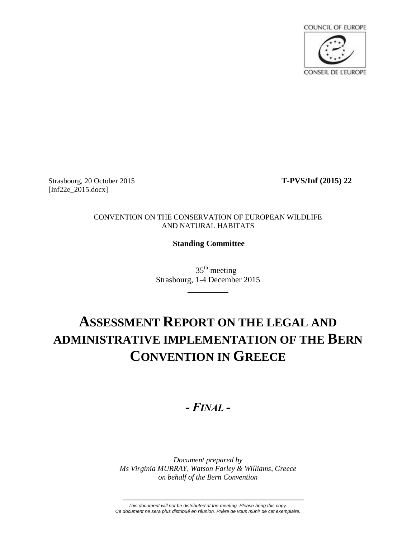

Strasbourg, 20 October 2015 **T-PVS/Inf (2015) 22** [Inf22e 2015.docx]

#### CONVENTION ON THE CONSERVATION OF EUROPEAN WILDLIFE AND NATURAL HABITATS

## **Standing Committee**

 $35<sup>th</sup>$  meeting Strasbourg, 1-4 December 2015

\_\_\_\_\_\_\_\_\_\_

# **ASSESSMENT REPORT ON THE LEGAL AND ADMINISTRATIVE IMPLEMENTATION OF THE BERN CONVENTION IN GREECE**

## *- FINAL -*

*Document prepared by Ms Virginia MURRAY, Watson Farley & Williams, Greece on behalf of the Bern Convention*

*This document will not be distributed at the meeting. Please bring this copy. Ce document ne sera plus distribué en réunion. Prière de vous munir de cet exemplaire.*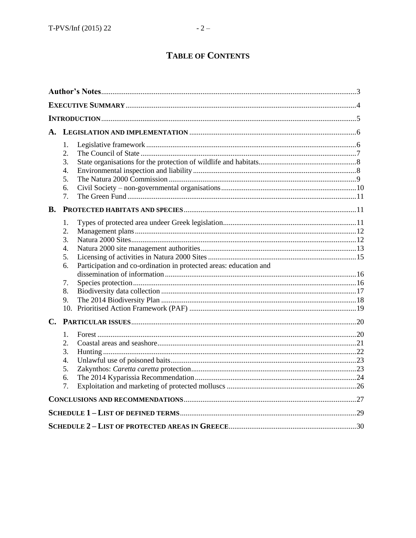| <b>B.</b>     | 1.<br>2.<br>3.<br>4.<br>5.<br>6.<br>7.                           |                                                                   |     |
|---------------|------------------------------------------------------------------|-------------------------------------------------------------------|-----|
|               | 1.<br>2.<br>3.<br>$\overline{4}$ .<br>5.<br>6.<br>7.<br>8.<br>9. | Participation and co-ordination in protected areas: education and |     |
| $C_{\bullet}$ |                                                                  |                                                                   |     |
|               | 1.<br>2.<br>3.<br>4.<br>5.<br>6.<br>7.                           |                                                                   |     |
|               |                                                                  |                                                                   |     |
|               |                                                                  |                                                                   |     |
|               |                                                                  |                                                                   | .30 |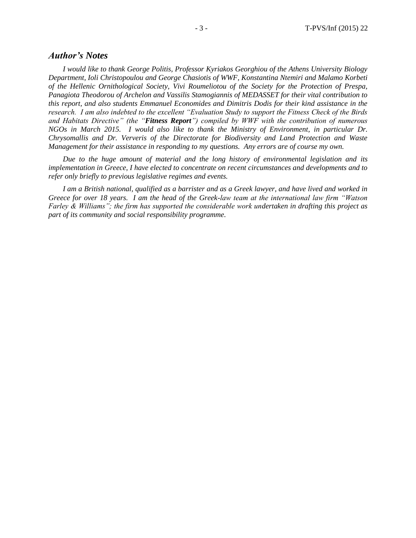#### *Author's Notes*

*I would like to thank George Politis, Professor Kyriakos Georghiou of the Athens University Biology Department, Ioli Christopoulou and George Chasiotis of WWF, Konstantina Ntemiri and Malamo Korbeti of the Hellenic Ornithological Society, Vivi Roumeliotou of the Society for the Protection of Prespa, Panagiota Theodorou of Archelon and Vassilis Stamogiannis of MEDASSET for their vital contribution to this report, and also students Emmanuel Economides and Dimitris Dodis for their kind assistance in the research. I am also indebted to the excellent "Evaluation Study to support the Fitness Check of the Birds and Habitats Directive" (the "Fitness Report") compiled by WWF with the contribution of numerous NGOs in March 2015. I would also like to thank the Ministry of Environment, in particular Dr. Chrysomallis and Dr. Ververis of the Directorate for Biodiversity and Land Protection and Waste Management for their assistance in responding to my questions. Any errors are of course my own.* 

*Due to the huge amount of material and the long history of environmental legislation and its implementation in Greece, I have elected to concentrate on recent circumstances and developments and to refer only briefly to previous legislative regimes and events.*

*I am a British national, qualified as a barrister and as a Greek lawyer, and have lived and worked in Greece for over 18 years. I am the head of the Greek-law team at the international law firm "Watson Farley & Williams"; the firm has supported the considerable work undertaken in drafting this project as part of its community and social responsibility programme.*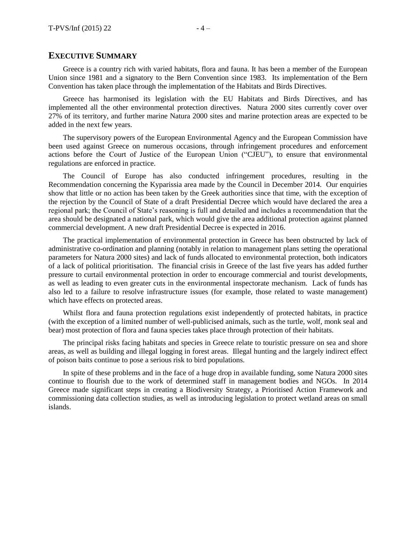#### **EXECUTIVE SUMMARY**

Greece is a country rich with varied habitats, flora and fauna. It has been a member of the European Union since 1981 and a signatory to the Bern Convention since 1983. Its implementation of the Bern Convention has taken place through the implementation of the Habitats and Birds Directives.

Greece has harmonised its legislation with the EU Habitats and Birds Directives, and has implemented all the other environmental protection directives. Natura 2000 sites currently cover over 27% of its territory, and further marine Natura 2000 sites and marine protection areas are expected to be added in the next few years.

The supervisory powers of the European Environmental Agency and the European Commission have been used against Greece on numerous occasions, through infringement procedures and enforcement actions before the Court of Justice of the European Union ("CJEU"), to ensure that environmental regulations are enforced in practice.

The Council of Europe has also conducted infringement procedures, resulting in the Recommendation concerning the Kyparissia area made by the Council in December 2014. Our enquiries show that little or no action has been taken by the Greek authorities since that time, with the exception of the rejection by the Council of State of a draft Presidential Decree which would have declared the area a regional park; the Council of State's reasoning is full and detailed and includes a recommendation that the area should be designated a national park, which would give the area additional protection against planned commercial development. A new draft Presidential Decree is expected in 2016.

The practical implementation of environmental protection in Greece has been obstructed by lack of administrative co-ordination and planning (notably in relation to management plans setting the operational parameters for Natura 2000 sites) and lack of funds allocated to environmental protection, both indicators of a lack of political prioritisation. The financial crisis in Greece of the last five years has added further pressure to curtail environmental protection in order to encourage commercial and tourist developments, as well as leading to even greater cuts in the environmental inspectorate mechanism. Lack of funds has also led to a failure to resolve infrastructure issues (for example, those related to waste management) which have effects on protected areas.

Whilst flora and fauna protection regulations exist independently of protected habitats, in practice (with the exception of a limited number of well-publicised animals, such as the turtle, wolf, monk seal and bear) most protection of flora and fauna species takes place through protection of their habitats.

The principal risks facing habitats and species in Greece relate to touristic pressure on sea and shore areas, as well as building and illegal logging in forest areas. Illegal hunting and the largely indirect effect of poison baits continue to pose a serious risk to bird populations.

In spite of these problems and in the face of a huge drop in available funding, some Natura 2000 sites continue to flourish due to the work of determined staff in management bodies and NGOs. In 2014 Greece made significant steps in creating a Biodiversity Strategy, a Prioritised Action Framework and commissioning data collection studies, as well as introducing legislation to protect wetland areas on small islands.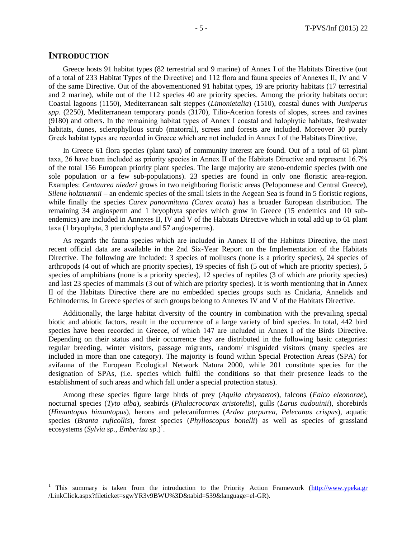#### **INTRODUCTION**

 $\overline{a}$ 

Greece hosts 91 habitat types (82 terrestrial and 9 marine) of Annex I of the Habitats Directive (out of a total of 233 Habitat Types of the Directive) and 112 flora and fauna species of Annexes ΙI, IV and V of the same Directive. Out of the abovementioned 91 habitat types, 19 are priority habitats (17 terrestrial and 2 marine), while out of the 112 species 40 are priority species. Among the priority habitats occur: Coastal lagoons (1150), Mediterranean salt steppes (*Limonietalia*) (1510), coastal dunes with *Juniperus spp*. (2250), Mediterranean temporary ponds (3170), Tilio-Acerion forests of slopes, screes and ravines (9180) and others. In the remaining habitat types of Annex Ι coastal and halophytic habitats, freshwater habitats, dunes, sclerophyllous scrub (matorral), screes and forests are included. Moreover 30 purely Greek habitat types are recorded in Greece which are not included in Annex Ι of the Habitats Directive.

In Greece 61 flora species (plant taxa) of community interest are found. Out of a total of 61 plant taxa, 26 have been included as priority species in Annex ΙΙ of the Habitats Directive and represent 16.7% of the total 156 European priority plant species. The large majority are steno-endemic species (with one sole population or a few sub-populations). 23 species are found in only one floristic area-region. Examples: *Centaurea niederi* grows in two neighboring floristic areas (Peloponnese and Central Greece), *Silene holzmannii* – an endemic species of the small islets in the Aegean Sea is found in 5 floristic regions, while finally the species *Carex panormitana (Carex acuta*) has a broader European distribution. The remaining 34 angiosperm and 1 bryophyta species which grow in Greece (15 endemics and 10 subendemics) are included in Annexes II, IV and V of the Habitats Directive which in total add up to 61 plant taxa (1 bryophyta, 3 pteridophyta and 57 angiosperms).

As regards the fauna species which are included in Annex ΙΙ of the Habitats Directive, the most recent official data are available in the 2nd Six-Year Report on the Implementation of the Habitats Directive. The following are included: 3 species of molluscs (none is a priority species), 24 species of arthropods (4 out of which are priority species), 19 species of fish (5 out of which are priority species), 5 species of amphibians (none is a priority species), 12 species of reptiles (3 of which are priority species) and last 23 species of mammals (3 out of which are priority species). It is worth mentioning that in Annex II of the Habitats Directive there are no embedded species groups such as Cnidaria, Annelids and Echinoderms. In Greece species of such groups belong to Annexes IV and V of the Habitats Directive.

Additionally, the large habitat diversity of the country in combination with the prevailing special biotic and abiotic factors, result in the occurrence of a large variety of bird species. In total, 442 bird species have been recorded in Greece, of which 147 are included in Annex Ι of the Birds Directive. Depending on their status and their occurrence they are distributed in the following basic categories: regular breeding, winter visitors, passage migrants, random/ misguided visitors (many species are included in more than one category). The majority is found within Special Protection Areas (SPA) for avifauna of the European Ecological Network Natura 2000, while 201 constitute species for the designation of SPAs, (i.e. species which fulfil the conditions so that their presence leads to the establishment of such areas and which fall under a special protection status).

Among these species figure large birds of prey (*Aquila chrysaetos*), falcons (*Falco eleonorae*), nocturnal species (*Tyto alba*), seabirds (*Phalacrocorax aristotelis*), gulls (*Larus audouinii*), shorebirds (*Himantopus himantopus*), herons and pelecaniformes (*Ardea purpurea, Pelecanus crispus*), aquatic species (*Branta ruficollis*), forest species (*Phylloscopus bonelli*) as well as species of grassland ecosystems (*Sylvia sp., Emberiza sp.*)<sup>1</sup>.

<sup>1</sup> This summary is taken from the introduction to the Priority Action Framework [\(http://www.ypeka.gr](http://www.ypeka.gr/) /LinkClick.aspx?fileticket=sgwYR3v9BWU%3D&tabid=539&language=el-GR).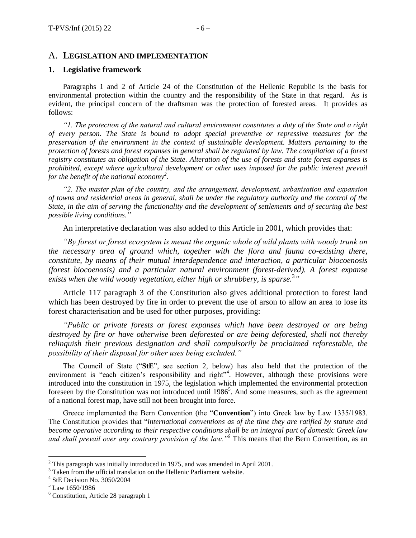#### A. **LEGISLATION AND IMPLEMENTATION**

#### **1. Legislative framework**

Paragraphs 1 and 2 of Article 24 of the Constitution of the Hellenic Republic is the basis for environmental protection within the country and the responsibility of the State in that regard. As is evident, the principal concern of the draftsman was the protection of forested areas. It provides as follows:

*"1. The protection of the natural and cultural environment constitutes a duty of the State and a right of every person. The State is bound to adopt special preventive or repressive measures for the preservation of the environment in the context of sustainable development. Matters pertaining to the protection of forests and forest expanses in general shall be regulated by law. The compilation of a forest registry constitutes an obligation of the State. Alteration of the use of forests and state forest expanses is prohibited, except where agricultural development or other uses imposed for the public interest prevail for the benefit of the national economy<sup>2</sup> .*

*"2. The master plan of the country, and the arrangement, development, urbanisation and expansion of towns and residential areas in general, shall be under the regulatory authority and the control of the State, in the aim of serving the functionality and the development of settlements and of securing the best possible living conditions."*

An interpretative declaration was also added to this Article in 2001, which provides that:

*"By forest or forest ecosystem is meant the organic whole of wild plants with woody trunk on the necessary area of ground which, together with the flora and fauna co-existing there, constitute, by means of their mutual interdependence and interaction, a particular biocoenosis (forest biocoenosis) and a particular natural environment (forest-derived). A forest expanse exists when the wild woody vegetation, either high or shrubbery, is sparse.*<sup>3</sup> *"*

Article 117 paragraph 3 of the Constitution also gives additional protection to forest land which has been destroyed by fire in order to prevent the use of arson to allow an area to lose its forest characterisation and be used for other purposes, providing:

*"Public or private forests or forest expanses which have been destroyed or are being destroyed by fire or have otherwise been deforested or are being deforested, shall not thereby relinquish their previous designation and shall compulsorily be proclaimed reforestable, the possibility of their disposal for other uses being excluded."*

The Council of State ("**StE**", see section 2, below) has also held that the protection of the environment is "each citizen's responsibility and right"<sup>4</sup>. However, although these provisions were introduced into the constitution in 1975, the legislation which implemented the environmental protection foreseen by the Constitution was not introduced until  $1986^5$ . And some measures, such as the agreement of a national forest map, have still not been brought into force.

Greece implemented the Bern Convention (the "**Convention**") into Greek law by Law 1335/1983. The Constitution provides that "*international conventions as of the time they are ratified by statute and become operative according to their respective conditions shall be an integral part of domestic Greek law and shall prevail over any contrary provision of the law."<sup>6</sup>* This means that the Bern Convention, as an

 $2$ <sup>2</sup> This paragraph was initially introduced in 1975, and was amended in April 2001.

<sup>&</sup>lt;sup>3</sup> Taken from the official translation on the Hellenic Parliament website.

<sup>4</sup> StE Decision No. 3050/2004

 $^{\rm 5}$  Law 1650/1986

<sup>6</sup> Constitution, Article 28 paragraph 1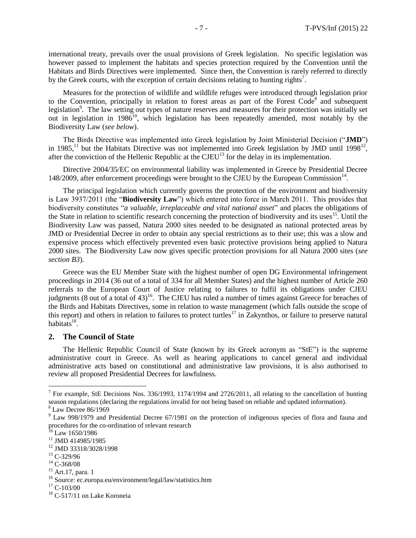international treaty, prevails over the usual provisions of Greek legislation. No specific legislation was however passed to implement the habitats and species protection required by the Convention until the Habitats and Birds Directives were implemented. Since then, the Convention is rarely referred to directly by the Greek courts, with the exception of certain decisions relating to hunting rights<sup>7</sup>.

Measures for the protection of wildlife and wildlife refuges were introduced through legislation prior to the Convention, principally in relation to forest areas as part of the Forest Code<sup>8</sup> and subsequent legislation<sup>9</sup>. The law setting out types of nature reserves and measures for their protection was initially set out in legislation in 1986<sup>10</sup>, which legislation has been repeatedly amended, most notably by the Biodiversity Law (*see below*).

The Birds Directive was implemented into Greek legislation by Joint Ministerial Decision ("**JMD**") in 1985,<sup>11</sup> but the Habitats Directive was not implemented into Greek legislation by JMD until 1998<sup>12</sup>, after the conviction of the Hellenic Republic at the  $CJEU<sup>13</sup>$  for the delay in its implementation.

Directive 2004/35/EC on environmental liability was implemented in Greece by Presidential Decree 148/2009, after enforcement proceedings were brought to the CJEU by the European Commission<sup>14</sup>.

The principal legislation which currently governs the protection of the environment and biodiversity is Law 3937/2011 (the "**Biodiversity Law**") which entered into force in March 2011. This provides that biodiversity constitutes "*a valuable, irreplaceable and vital national asset*" and places the obligations of the State in relation to scientific research concerning the protection of biodiversity and its uses<sup>15</sup>. Until the Biodiversity Law was passed, Natura 2000 sites needed to be designated as national protected areas by JMD or Presidential Decree in order to obtain any special restrictions as to their use; this was a slow and expensive process which effectively prevented even basic protective provisions being applied to Natura 2000 sites. The Biodiversity Law now gives specific protection provisions for all Natura 2000 sites (*see section B3*).

Greece was the EU Member State with the highest number of open DG Environmental infringement proceedings in 2014 (36 out of a total of 334 for all Member States) and the highest number of Article 260 referrals to the European Court of Justice relating to failures to fulfil its obligations under CJEU judgments (8 out of a total of 43)<sup>16</sup>. The CJEU has ruled a number of times against Greece for breaches of the Birds and Habitats Directives, some in relation to waste management (which falls outside the scope of this report) and others in relation to failures to protect turtles<sup>17</sup> in Zakynthos, or failure to preserve natural habitats $^{18}$ .

#### **2. The Council of State**

The Hellenic Republic Council of State (known by its Greek acronym as "StE") is the supreme administrative court in Greece. As well as hearing applications to cancel general and individual administrative acts based on constitutional and administrative law provisions, it is also authorised to review all proposed Presidential Decrees for lawfulness.

<sup>&</sup>lt;sup>7</sup> For example, StE Decisions Nos. 336/1993, 1174/1994 and 2726/2011, all relating to the cancellation of hunting season regulations (declaring the regulations invalid for not being based on reliable and updated information).

 $8$  Law Decree 86/1969

<sup>9</sup> Law 998/1979 and Presidential Decree 67/1981 on the protection of indigenous species of flora and fauna and procedures for the co-ordination of relevant research

 $10^{10}$  Law 1650/1986

<sup>11</sup> JMD 414985/1985

<sup>12</sup> JMD 33318/3028/1998

<sup>&</sup>lt;sup>13</sup> C-329/96

 $14$  C-368/08

<sup>15</sup> Art.17, para. 1

<sup>16</sup> Source: ec.europa.eu/environment/legal/law/statistics.htm

 $17$  C-103/00

<sup>&</sup>lt;sup>18</sup> C-517/11 on Lake Koroneia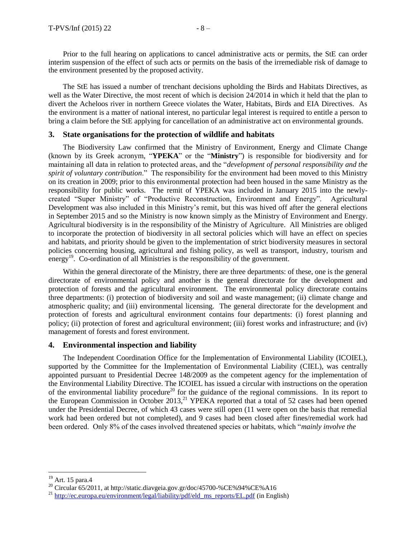Prior to the full hearing on applications to cancel administrative acts or permits, the StE can order interim suspension of the effect of such acts or permits on the basis of the irremediable risk of damage to the environment presented by the proposed activity.

The StE has issued a number of trenchant decisions upholding the Birds and Habitats Directives, as well as the Water Directive, the most recent of which is decision 24/2014 in which it held that the plan to divert the Acheloos river in northern Greece violates the Water, Habitats, Birds and EIA Directives. As the environment is a matter of national interest, no particular legal interest is required to entitle a person to bring a claim before the StE applying for cancellation of an administrative act on environmental grounds.

#### **3. State organisations for the protection of wildlife and habitats**

The Biodiversity Law confirmed that the Ministry of Environment, Energy and Climate Change (known by its Greek acronym, "**YPEKA**" or the "**Ministry**") is responsible for biodiversity and for maintaining all data in relation to protected areas, and the "*development of personal responsibility and the spirit of voluntary contribution*." The responsibility for the environment had been moved to this Ministry on its creation in 2009; prior to this environmental protection had been housed in the same Ministry as the responsibility for public works. The remit of YPEKA was included in January 2015 into the newlycreated "Super Ministry" of "Productive Reconstruction, Environment and Energy". Agricultural Development was also included in this Ministry's remit, but this was hived off after the general elections in September 2015 and so the Ministry is now known simply as the Ministry of Environment and Energy. Agricultural biodiversity is in the responsibility of the Ministry of Agriculture. All Ministries are obliged to incorporate the protection of biodiversity in all sectoral policies which will have an effect on species and habitats, and priority should be given to the implementation of strict biodiversity measures in sectoral policies concerning housing, agricultural and fishing policy, as well as transport, industry, tourism and energy<sup>19</sup>. Co-ordination of all Ministries is the responsibility of the government.

Within the general directorate of the Ministry, there are three departments: of these, one is the general directorate of environmental policy and another is the general directorate for the development and protection of forests and the agricultural environment. The environmental policy directorate contains three departments: (i) protection of biodiversity and soil and waste management; (ii) climate change and atmospheric quality; and (iii) environmental licensing. The general directorate for the development and protection of forests and agricultural environment contains four departments: (i) forest planning and policy; (ii) protection of forest and agricultural environment; (iii) forest works and infrastructure; and (iv) management of forests and forest environment.

#### **4. Environmental inspection and liability**

The Independent Coordination Office for the Implementation of Environmental Liability (ICOIEL), supported by the Committee for the Implementation of Environmental Liability (CIEL), was centrally appointed pursuant to Presidential Decree 148/2009 as the competent agency for the implementation of the Environmental Liability Directive. The ICOIEL has issued a circular with instructions on the operation of the environmental liability procedure<sup>20</sup> for the guidance of the regional commissions. In its report to the European Commission in October 2013,<sup>21</sup> YPEKA reported that a total of 52 cases had been opened under the Presidential Decree, of which 43 cases were still open (11 were open on the basis that remedial work had been ordered but not completed), and 9 cases had been closed after fines/remedial work had been ordered. Only 8% of the cases involved threatened species or habitats, which "*mainly involve the* 

 $19$  Art. 15 para.4

<sup>&</sup>lt;sup>20</sup> Circular 65/2011, at http://static.diavgeia.gov.gr/doc/45700-%CE%94%CE%A16

<sup>&</sup>lt;sup>21</sup> [http://ec.europa.eu/environment/legal/liability/pdf/eld\\_ms\\_reports/EL.pdf](http://ec.europa.eu/environment/legal/liability/pdf/eld_ms_reports/EL.pdf) (in English)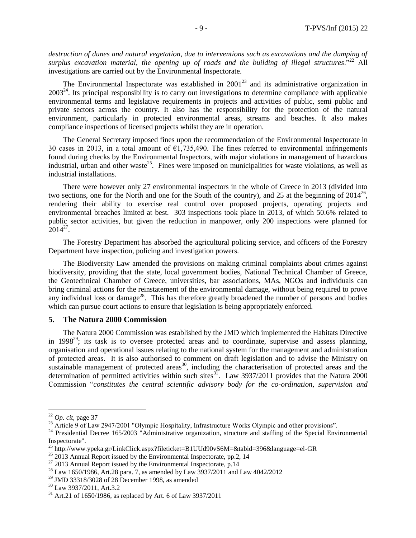*destruction of dunes and natural vegetation, due to interventions such as excavations and the dumping of surplus excavation material, the opening up of roads and the building of illegal structures*."<sup>22</sup> All investigations are carried out by the Environmental Inspectorate.

The Environmental Inspectorate was established in  $2001^{23}$  and its administrative organization in  $2003<sup>24</sup>$ . Its principal responsibility is to carry out investigations to determine compliance with applicable environmental terms and legislative requirements in projects and activities of public, semi public and private sectors across the country. It also has the responsibility for the protection of the natural environment, particularly in protected environmental areas, streams and beaches. It also makes compliance inspections of licensed projects whilst they are in operation.

The General Secretary imposed fines upon the recommendation of the Environmental Inspectorate in 30 cases in 2013, in a total amount of  $\epsilon$ 1,735,490. The fines referred to environmental infringements found during checks by the Environmental Inspectors, with major violations in management of hazardous industrial, urban and other waste<sup>25</sup>. Fines were imposed on municipalities for waste violations, as well as industrial installations.

There were however only 27 environmental inspectors in the whole of Greece in 2013 (divided into two sections, one for the North and one for the South of the country), and 25 at the beginning of  $2014^{26}$ , rendering their ability to exercise real control over proposed projects, operating projects and environmental breaches limited at best. 303 inspections took place in 2013, of which 50.6% related to public sector activities, but given the reduction in manpower, only 200 inspections were planned for  $2014^{27}$ .

The Forestry Department has absorbed the agricultural policing service, and officers of the Forestry Department have inspection, policing and investigation powers.

The Biodiversity Law amended the provisions on making criminal complaints about crimes against biodiversity, providing that the state, local government bodies, National Technical Chamber of Greece, the Geotechnical Chamber of Greece, universities, bar associations, MAs, NGOs and individuals can bring criminal actions for the reinstatement of the environmental damage, without being required to prove any individual loss or damage<sup>28</sup>. This has therefore greatly broadened the number of persons and bodies which can pursue court actions to ensure that legislation is being appropriately enforced.

#### **5. The Natura 2000 Commission**

The Natura 2000 Commission was established by the JMD which implemented the Habitats Directive in 1998 $29$ ; its task is to oversee protected areas and to coordinate, supervise and assess planning, organisation and operational issues relating to the national system for the management and administration of protected areas. It is also authorised to comment on draft legislation and to advise the Ministry on sustainable management of protected areas<sup>30</sup>, including the characterisation of protected areas and the determination of permitted activities within such sites $^{31}$ . Law 3937/2011 provides that the Natura 2000 Commission "*constitutes the central scientific advisory body for the co-ordination, supervision and* 

<sup>22</sup> *Op. cit,* page 37

<sup>&</sup>lt;sup>23</sup> Article 9 of Law 2947/2001 "Olympic Hospitality, Infrastructure Works Olympic and other provisions".

<sup>&</sup>lt;sup>24</sup> Presidential Decree 165/2003 "Administrative organization, structure and staffing of the Special Environmental Inspectorate".

<sup>&</sup>lt;sup>25</sup> http://www.ypeka.gr/LinkClick.aspx?fileticket=B1UUd90vS6M=&tabid=396&language=el-GR

<sup>&</sup>lt;sup>26</sup> 2013 Annual Report issued by the Environmental Inspectorate, pp.2, 14

 $27$  2013 Annual Report issued by the Environmental Inspectorate, p.14

<sup>28</sup> Law 1650/1986, Art.28 para. 7, as amended by Law 3937/2011 and Law 4042/2012

 $29$  JMD 33318/3028 of 28 December 1998, as amended

<sup>&</sup>lt;sup>30</sup> Law 3937/2011, Art.3.2

 $31$  Art.21 of 1650/1986, as replaced by Art. 6 of Law 3937/2011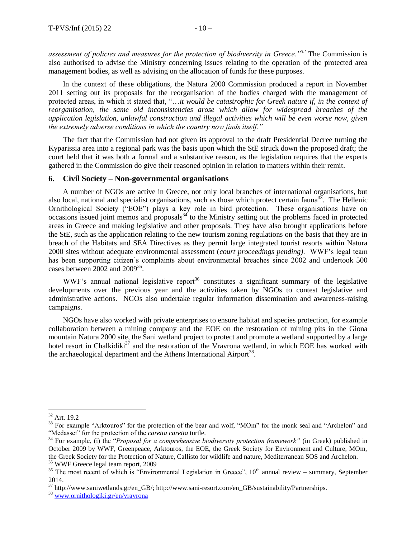*assessment of policies and measures for the protection of biodiversity in Greece."<sup>32</sup>* The Commission is also authorised to advise the Ministry concerning issues relating to the operation of the protected area management bodies, as well as advising on the allocation of funds for these purposes.

In the context of these obligations, the Natura 2000 Commission produced a report in November 2011 setting out its proposals for the reorganisation of the bodies charged with the management of protected areas, in which it stated that, "...*it would be catastrophic for Greek nature if, in the context of reorganisation, the same old inconsistencies arose which allow for widespread breaches of the application legislation, unlawful construction and illegal activities which will be even worse now, given the extremely adverse conditions in which the country now finds itself."*

The fact that the Commission had not given its approval to the draft Presidential Decree turning the Kyparissia area into a regional park was the basis upon which the StE struck down the proposed draft; the court held that it was both a formal and a substantive reason, as the legislation requires that the experts gathered in the Commission do give their reasoned opinion in relation to matters within their remit.

#### **6. Civil Society – Non-governmental organisations**

A number of NGOs are active in Greece, not only local branches of international organisations, but also local, national and specialist organisations, such as those which protect certain fauna<sup>33</sup>. The Hellenic Ornithological Society ("EOE") plays a key role in bird protection. These organisations have on occasions issued joint memos and proposals<sup>34</sup> to the Ministry setting out the problems faced in protected areas in Greece and making legislative and other proposals. They have also brought applications before the StE, such as the application relating to the new tourism zoning regulations on the basis that they are in breach of the Habitats and SEA Directives as they permit large integrated tourist resorts within Natura 2000 sites without adequate environmental assessment (*court proceedings pending)*. WWF's legal team has been supporting citizen's complaints about environmental breaches since 2002 and undertook 500 cases between 2002 and 2009<sup>35</sup>.

WWF's annual national legislative report<sup>36</sup> constitutes a significant summary of the legislative developments over the previous year and the activities taken by NGOs to contest legislative and administrative actions. NGOs also undertake regular information dissemination and awareness-raising campaigns.

NGOs have also worked with private enterprises to ensure habitat and species protection, for example collaboration between a mining company and the EOE on the restoration of mining pits in the Giona mountain Natura 2000 site, the Sani wetland project to protect and promote a wetland supported by a large hotel resort in Chalkidiki<sup>37</sup> and the restoration of the Vravrona wetland, in which EOE has worked with the archaeological department and the Athens International Airport<sup>38</sup>.

 $32$  Art. 19.2

<sup>&</sup>lt;sup>33</sup> For example "Arktouros" for the protection of the bear and wolf, "MOm" for the monk seal and "Archelon" and "Medasset" for the protection of the *caretta caretta* turtle.

<sup>&</sup>lt;sup>34</sup> For example, (i) the "*Proposal for a comprehensive biodiversity protection framework*" (in Greek) published in October 2009 by WWF, Greenpeace, Arktouros, the EOE, the Greek Society for Environment and Culture, MOm, the Greek Society for the Protection of Nature, Callisto for wildlife and nature, Mediterranean SOS and Archelon. <sup>35</sup> WWF Greece legal team report, 2009

 $36$  The most recent of which is "Environmental Legislation in Greece",  $10<sup>th</sup>$  annual review – summary, September 2014.

<sup>&</sup>lt;sup>37</sup> http://www.saniwetlands.gr/en\_GB/; http://www.sani-resort.com/en\_GB/sustainability/Partnerships.

<sup>38</sup> [www.ornithologiki.gr/en/vravrona](http://www.ornithologiki.gr/en/vravrona)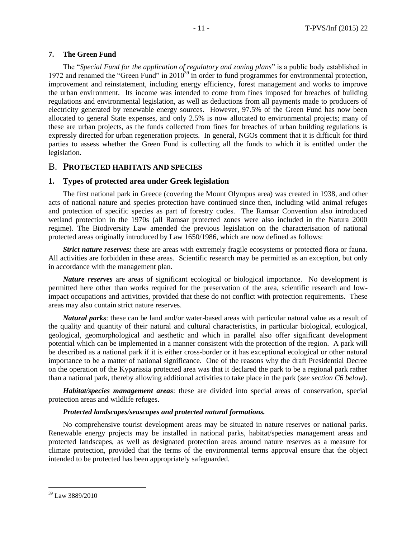#### **7. The Green Fund**

The "*Special Fund for the application of regulatory and zoning plans*" is a public body established in 1972 and renamed the "Green Fund" in 2010<sup>39</sup> in order to fund programmes for environmental protection, improvement and reinstatement, including energy efficiency, forest management and works to improve the urban environment. Its income was intended to come from fines imposed for breaches of building regulations and environmental legislation, as well as deductions from all payments made to producers of electricity generated by renewable energy sources. However, 97.5% of the Green Fund has now been allocated to general State expenses, and only 2.5% is now allocated to environmental projects; many of these are urban projects, as the funds collected from fines for breaches of urban building regulations is expressly directed for urban regeneration projects. In general, NGOs comment that it is difficult for third parties to assess whether the Green Fund is collecting all the funds to which it is entitled under the legislation.

#### B. **PROTECTED HABITATS AND SPECIES**

#### **1. Types of protected area under Greek legislation**

The first national park in Greece (covering the Mount Olympus area) was created in 1938, and other acts of national nature and species protection have continued since then, including wild animal refuges and protection of specific species as part of forestry codes. The Ramsar Convention also introduced wetland protection in the 1970s (all Ramsar protected zones were also included in the Natura 2000 regime). The Biodiversity Law amended the previous legislation on the characterisation of national protected areas originally introduced by Law 1650/1986, which are now defined as follows:

*Strict nature reserves:* these are areas with extremely fragile ecosystems or protected flora or fauna. All activities are forbidden in these areas. Scientific research may be permitted as an exception, but only in accordance with the management plan.

*Nature reserves* are areas of significant ecological or biological importance. No development is permitted here other than works required for the preservation of the area, scientific research and lowimpact occupations and activities, provided that these do not conflict with protection requirements. These areas may also contain strict nature reserves.

*Natural parks*: these can be land and/or water-based areas with particular natural value as a result of the quality and quantity of their natural and cultural characteristics, in particular biological, ecological, geological, geomorphological and aesthetic and which in parallel also offer significant development potential which can be implemented in a manner consistent with the protection of the region. A park will be described as a national park if it is either cross-border or it has exceptional ecological or other natural importance to be a matter of national significance. One of the reasons why the draft Presidential Decree on the operation of the Kyparissia protected area was that it declared the park to be a regional park rather than a national park, thereby allowing additional activities to take place in the park (*see section C6 below*).

*Habitat/species management areas*: these are divided into special areas of conservation, special protection areas and wildlife refuges.

#### *Protected landscapes/seascapes and protected natural formations.*

No comprehensive tourist development areas may be situated in nature reserves or national parks. Renewable energy projects may be installed in national parks, habitat/species management areas and protected landscapes, as well as designated protection areas around nature reserves as a measure for climate protection, provided that the terms of the environmental terms approval ensure that the object intended to be protected has been appropriately safeguarded.

<sup>39</sup> Law 3889/2010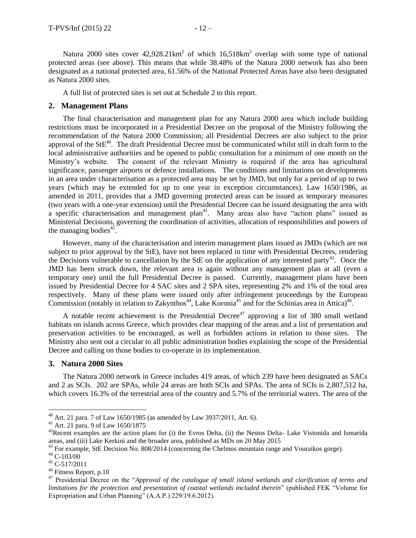Natura 2000 sites cover  $42,928.21 \text{km}^2$  of which  $16,518 \text{km}^2$  overlap with some type of national protected areas (see above). This means that while 38.48% of the Natura 2000 network has also been designated as a national protected area, 61.56% of the National Protected Areas have also been designated as Natura 2000 sites.

A full list of protected sites is set out at Schedule 2 to this report.

#### **2. Management Plans**

The final characterisation and management plan for any Natura 2000 area which include building restrictions must be incorporated in a Presidential Decree on the proposal of the Ministry following the recommendation of the Natura 2000 Commission; all Presidential Decrees are also subject to the prior approval of the  $StE^{40}$ . The draft Presidential Decree must be communicated whilst still in draft form to the local administrative authorities and be opened to public consultation for a minimum of one month on the Ministry's website. The consent of the relevant Ministry is required if the area has agricultural significance, passenger airports or defence installations. The conditions and limitations on developments in an area under characterisation as a protected area may be set by JMD, but only for a period of up to two years (which may be extended for up to one year in exception circumstances). Law 1650/1986, as amended in 2011, provides that a JMD governing protected areas can be issued as temporary measures (two years with a one-year extension) until the Presidential Decree can be issued designating the area with a specific characterisation and management plan<sup>41</sup>. Many areas also have "action plans" issued as Ministerial Decisions, governing the coordination of activities, allocation of responsibilities and powers of the managing bodies $42$ .

However, many of the characterisation and interim management plans issued as JMDs (which are not subject to prior approval by the StE), have not been replaced in time with Presidential Decrees, rendering the Decisions vulnerable to cancellation by the StE on the application of any interested party<sup>43</sup>. Once the JMD has been struck down, the relevant area is again without any management plan at all (even a temporary one) until the full Presidential Decree is passed. Currently, management plans have been issued by Presidential Decree for 4 SAC sites and 2 SPA sites, representing 2% and 1% of the total area respectively. Many of these plans were issued only after infringement proceedings by the European Commission (notably in relation to Zakynthos<sup>44</sup>, Lake Koronia<sup>45</sup> and for the Schinias area in Attica)<sup>46</sup>.

A notable recent achievement is the Presidential Decree<sup>47</sup> approving a list of 380 small wetland habitats on islands across Greece, which provides clear mapping of the areas and a list of presentation and preservation activities to be encouraged, as well as forbidden actions in relation to those sites. The Ministry also sent out a circular to all public administration bodies explaining the scope of the Presidential Decree and calling on those bodies to co-operate in its implementation.

#### **3. Natura 2000 Sites**

The Natura 2000 network in Greece includes 419 areas, of which 239 have been designated as SACs and 2 as SCIs. 202 are SPAs, while 24 areas are both SCIs and SPAs. The area of SCIs is 2,807,512 ha, which covers 16.3% of the terrestrial area of the country and 5.7% of the territorial waters. The area of the

 $^{40}$  Art. 21 para. 7 of Law 1650/1985 (as amended by Law 3937/2011, Art. 6).

<sup>41</sup> Art. 21 para. 9 of Law 1650/1875

 $^{42}$ Recent examples are the action plans for (i) the Evros Delta, (ii) the Nestos Delta- Lake Vistonida and Ismarida areas, and (iii) Lake Kerkini and the broader area, published as MDs on 20 May 2015

<sup>&</sup>lt;sup>43</sup> For example, StE Decision No. 808/2014 (concerning the Chelmos mountain range and Vouraikos gorge).

<sup>44</sup> C-103/00

 $45$  C-517/2011

<sup>46</sup> Fitness Report, p.10

<sup>47</sup> Presidential Decree on the "*Approval of the catalogue of small island wetlands and clarification of terms and limitations for the protection and presentation of coastal wetlands included therein*" (published FEK "Volume for Expropriation and Urban Planning" (A.A.P.) 229/19.6.2012).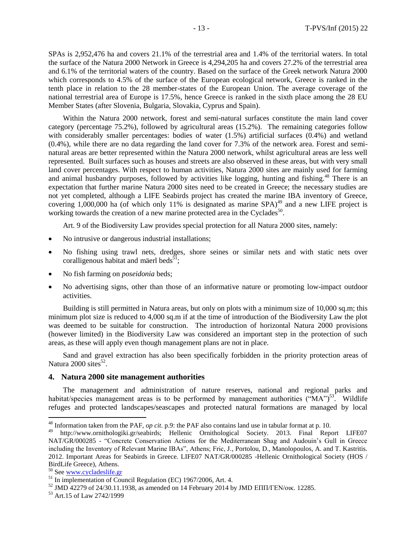SPAs is 2,952,476 ha and covers 21.1% of the terrestrial area and 1.4% of the territorial waters. In total the surface of the Natura 2000 Network in Greece is 4,294,205 ha and covers 27.2% of the terrestrial area and 6.1% of the territorial waters of the country. Based on the surface of the Greek network Natura 2000 which corresponds to 4.5% of the surface of the European ecological network, Greece is ranked in the tenth place in relation to the 28 member-states of the European Union. The average coverage of the national terrestrial area of Europe is 17.5%, hence Greece is ranked in the sixth place among the 28 EU Member States (after Slovenia, Bulgaria, Slovakia, Cyprus and Spain).

Within the Natura 2000 network, forest and semi-natural surfaces constitute the main land cover category (percentage 75.2%), followed by agricultural areas (15.2%). The remaining categories follow with considerably smaller percentages: bodies of water (1.5%) artificial surfaces (0.4%) and wetland (0.4%), while there are no data regarding the land cover for 7.3% of the network area. Forest and seminatural areas are better represented within the Natura 2000 network, whilst agricultural areas are less well represented. Built surfaces such as houses and streets are also observed in these areas, but with very small land cover percentages. With respect to human activities, Natura 2000 sites are mainly used for farming and animal husbandry purposes, followed by activities like logging, hunting and fishing.<sup>48</sup> There is an expectation that further marine Natura 2000 sites need to be created in Greece; the necessary studies are not yet completed, although a LIFE Seabirds project has created the marine IBA inventory of Greece, covering 1,000,000 ha (of which only 11% is designated as marine  $SPA$ <sup>49</sup> and a new LIFE project is working towards the creation of a new marine protected area in the Cyclades<sup>50</sup>.

Art. 9 of the Biodiversity Law provides special protection for all Natura 2000 sites, namely:

- No intrusive or dangerous industrial installations;
- No fishing using trawl nets, dredges, shore seines or similar nets and with static nets over coralligenous habitat and mäerl beds<sup>51</sup>:
- No fish farming on *poseidonia* beds;
- No advertising signs, other than those of an informative nature or promoting low-impact outdoor activities.

Building is still permitted in Natura areas, but only on plots with a minimum size of 10,000 sq.m; this minimum plot size is reduced to 4,000 sq.m if at the time of introduction of the Biodiversity Law the plot was deemed to be suitable for construction. The introduction of horizontal Natura 2000 provisions (however limited) in the Biodiversity Law was considered an important step in the protection of such areas, as these will apply even though management plans are not in place.

Sand and gravel extraction has also been specifically forbidden in the priority protection areas of Natura 2000 sites<sup>52</sup>.

#### **4. Natura 2000 site management authorities**

<span id="page-12-0"></span>The management and administration of nature reserves, national and regional parks and habitat/species management areas is to be performed by management authorities ("MA")<sup>53</sup>. Wildlife refuges and protected landscapes/seascapes and protected natural formations are managed by local

<sup>&</sup>lt;sup>48</sup> Information taken from the PAF, *op cit*. p.9: the PAF also contains land use in tabular format at p. 10.<br><sup>49</sup> http://www.ornithologiki.or/seabirds: Hellenic Ornithological Society 2013. Final Repe

http://www.ornithologiki.gr/seabirds; Hellenic Ornithological Society. 2013. Final Report LIFE07 NAT/GR/000285 - "Concrete Conservation Actions for the Mediterranean Shag and Audouin's Gull in Greece including the Inventory of Relevant Marine IBAs", Athens; Fric, J., Portolou, D., Manolopoulos, A. and T. Kastritis. 2012. Important Areas for Seabirds in Greece. LIFE07 NAT/GR/000285 -Hellenic Ornithological Society (HOS / BirdLife Greece), Athens.

<sup>&</sup>lt;sup>50</sup> See [www.cycladeslife.gr](http://www.cycladeslife.gr/)

 $51$  In implementation of Council Regulation (EC) 1967/2006, Art. 4.

<sup>52</sup> JMD 42279 of 24/30.11.1938, as amended on 14 February 2014 by JMD ΕΠΠ/ΓΕΝ/οικ. 12285.

<sup>53</sup> Art.15 of Law 2742/1999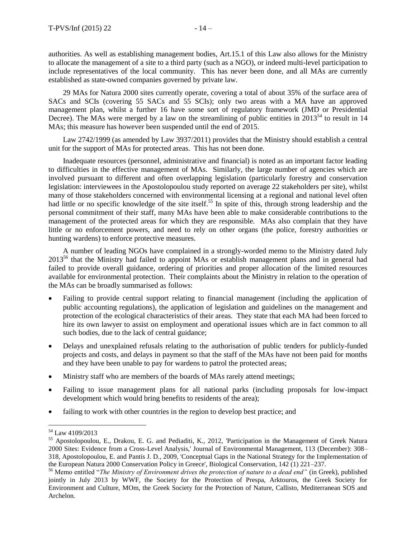authorities. As well as establishing management bodies, Art.15.1 of this Law also allows for the Ministry to allocate the management of a site to a third party (such as a NGO), or indeed multi-level participation to include representatives of the local community. This has never been done, and all MAs are currently established as state-owned companies governed by private law.

29 MAs for Natura 2000 sites currently operate, covering a total of about 35% of the surface area of SACs and SCIs (covering 55 SACs and 55 SCIs); only two areas with a MA have an approved management plan, whilst a further 16 have some sort of regulatory framework (JMD or Presidential Decree). The MAs were merged by a law on the streamlining of public entities in  $2013^{54}$  to result in 14 MAs; this measure has however been suspended until the end of 2015.

Law 2742/1999 (as amended by Law 3937/2011) provides that the Ministry should establish a central unit for the support of MAs for protected areas. This has not been done.

Inadequate resources (personnel, administrative and financial) is noted as an important factor leading to difficulties in the effective management of MAs. Similarly, the large number of agencies which are involved pursuant to different and often overlapping legislation (particularly forestry and conservation legislation: interviewees in the Apostolopoulou study reported on average 22 stakeholders per site), whilst many of those stakeholders concerned with environmental licensing at a regional and national level often had little or no specific knowledge of the site itself.<sup>55</sup> In spite of this, through strong leadership and the personal commitment of their staff, many MAs have been able to make considerable contributions to the management of the protected areas for which they are responsible. MAs also complain that they have little or no enforcement powers, and need to rely on other organs (the police, forestry authorities or hunting wardens) to enforce protective measures.

A number of leading NGOs have complained in a strongly-worded memo to the Ministry dated July 2013<sup>56</sup> that the Ministry had failed to appoint MAs or establish management plans and in general had failed to provide overall guidance, ordering of priorities and proper allocation of the limited resources available for environmental protection. Their complaints about the Ministry in relation to the operation of the MAs can be broadly summarised as follows:

- Failing to provide central support relating to financial management (including the application of public accounting regulations), the application of legislation and guidelines on the management and protection of the ecological characteristics of their areas. They state that each MA had been forced to hire its own lawyer to assist on employment and operational issues which are in fact common to all such bodies, due to the lack of central guidance;
- Delays and unexplained refusals relating to the authorisation of public tenders for publicly-funded projects and costs, and delays in payment so that the staff of the MAs have not been paid for months and they have been unable to pay for wardens to patrol the protected areas;
- Ministry staff who are members of the boards of MAs rarely attend meetings;
- Failing to issue management plans for all national parks (including proposals for low-impact development which would bring benefits to residents of the area);
- failing to work with other countries in the region to develop best practice; and

<sup>54</sup> Law 4109/2013

<sup>55</sup> Apostolopoulou, E., Drakou, E. G. and Pediaditi, K., 2012, 'Participation in the Management of Greek Natura 2000 Sites: Evidence from a Cross-Level Analysis,' Journal of Environmental Management, 113 (December): 308– 318, Apostolopoulou, E. and Pantis J. D., 2009, 'Conceptual Gaps in the National Strategy for the Implementation of the European Natura 2000 Conservation Policy in Greece', Biological Conservation, 142 (1) 221–237.

<sup>56</sup> Memo entitled "*The Ministry of Environment drives the protection of nature to a dead end"* (in Greek), published jointly in July 2013 by WWF, the Society for the Protection of Prespa, Arktouros, the Greek Society for Environment and Culture, MOm, the Greek Society for the Protection of Nature, Callisto, Mediterranean SOS and Archelon.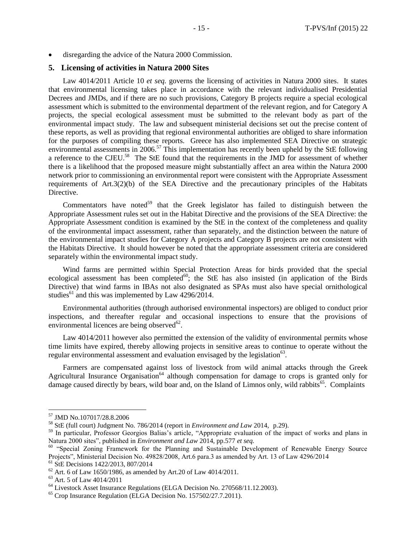disregarding the advice of the Natura 2000 Commission.

#### **5. Licensing of activities in Natura 2000 Sites**

Law 4014/2011 Article 10 *et seq.* governs the licensing of activities in Natura 2000 sites. It states that environmental licensing takes place in accordance with the relevant individualised Presidential Decrees and JMDs, and if there are no such provisions, Category B projects require a special ecological assessment which is submitted to the environmental department of the relevant region, and for Category A projects, the special ecological assessment must be submitted to the relevant body as part of the environmental impact study. The law and subsequent ministerial decisions set out the precise content of these reports, as well as providing that regional environmental authorities are obliged to share information for the purposes of compiling these reports. Greece has also implemented SEA Directive on strategic environmental assessments in 2006.<sup>57</sup> This implementation has recently been upheld by the StE following a reference to the CJEU.<sup>58</sup> The StE found that the requirements in the JMD for assessment of whether there is a likelihood that the proposed measure might substantially affect an area within the Natura 2000 network prior to commissioning an environmental report were consistent with the Appropriate Assessment requirements of Art.3(2)(b) of the SEA Directive and the precautionary principles of the Habitats Directive.

Commentators have noted<sup>59</sup> that the Greek legislator has failed to distinguish between the Appropriate Assessment rules set out in the Habitat Directive and the provisions of the SEA Directive: the Appropriate Assessment condition is examined by the StE in the context of the completeness and quality of the environmental impact assessment, rather than separately, and the distinction between the nature of the environmental impact studies for Category A projects and Category B projects are not consistent with the Habitats Directive. It should however be noted that the appropriate assessment criteria are considered separately within the environmental impact study.

Wind farms are permitted within Special Protection Areas for birds provided that the special ecological assessment has been completed<sup>60</sup>; the StE has also insisted (in application of the Birds Directive) that wind farms in IBAs not also designated as SPAs must also have special ornithological studies<sup>61</sup> and this was implemented by Law  $4296/2014$ .

Environmental authorities (through authorised environmental inspectors) are obliged to conduct prior inspections, and thereafter regular and occasional inspections to ensure that the provisions of environmental licences are being observed $62$ .

Law 4014/2011 however also permitted the extension of the validity of environmental permits whose time limits have expired, thereby allowing projects in sensitive areas to continue to operate without the regular environmental assessment and evaluation envisaged by the legislation<sup>63</sup>.

Farmers are compensated against loss of livestock from wild animal attacks through the Greek Agricultural Insurance Organisation<sup>64</sup> although compensation for damage to crops is granted only for damage caused directly by bears, wild boar and, on the Island of Limnos only, wild rabbits<sup>65</sup>. Complaints

<sup>57</sup> JMD No.107017/28.8.2006

<sup>58</sup> StE (full court) Judgment No. 786/2014 (report in *Environment and Law* 2014, p.29).

<sup>59</sup> In particular, Professor Georgios Balias's article*,* "Appropriate evaluation of the impact of works and plans in Natura 2000 sites", published in *Environment and Law* 2014, pp.577 *et seq.*

<sup>&</sup>lt;sup>60</sup> "Special Zoning Framework for the Planning and Sustainable Development of Renewable Energy Source Projects", Ministerial Decision No. 49828/2008, Art.6 para.3 as amended by Art. 13 of Law 4296/2014 <sup>61</sup> StE Decisions 1422/2013, 807/2014

 $62$  Art. 6 of Law 1650/1986, as amended by Art. 20 of Law 4014/2011.

<sup>63</sup> Art. 5 of Law 4014/2011

<sup>&</sup>lt;sup>64</sup> Livestock Asset Insurance Regulations (ELGA Decision No. 270568/11.12.2003).

<sup>&</sup>lt;sup>65</sup> Crop Insurance Regulation (ELGA Decision No. 157502/27.7.2011).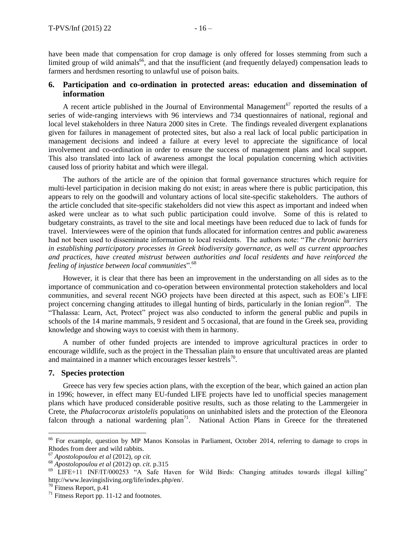have been made that compensation for crop damage is only offered for losses stemming from such a limited group of wild animals<sup>66</sup>, and that the insufficient (and frequently delayed) compensation leads to farmers and herdsmen resorting to unlawful use of poison baits.

#### **6. Participation and co-ordination in protected areas: education and dissemination of information**

A recent article published in the Journal of Environmental Management<sup>67</sup> reported the results of a series of wide-ranging interviews with 96 interviews and 734 questionnaires of national, regional and local level stakeholders in three Natura 2000 sites in Crete. The findings revealed divergent explanations given for failures in management of protected sites, but also a real lack of local public participation in management decisions and indeed a failure at every level to appreciate the significance of local involvement and co-ordination in order to ensure the success of management plans and local support. This also translated into lack of awareness amongst the local population concerning which activities caused loss of priority habitat and which were illegal.

The authors of the article are of the opinion that formal governance structures which require for multi-level participation in decision making do not exist; in areas where there is public participation, this appears to rely on the goodwill and voluntary actions of local site-specific stakeholders. The authors of the article concluded that site-specific stakeholders did not view this aspect as important and indeed when asked were unclear as to what such public participation could involve. Some of this is related to budgetary constraints, as travel to the site and local meetings have been reduced due to lack of funds for travel. Interviewees were of the opinion that funds allocated for information centres and public awareness had not been used to disseminate information to local residents. The authors note: "*The chronic barriers in establishing participatory processes in Greek biodiversity governance, as well as current approaches and practices, have created mistrust between authorities and local residents and have reinforced the feeling of injustice between local communities*".<sup>68</sup>

However, it is clear that there has been an improvement in the understanding on all sides as to the importance of communication and co-operation between environmental protection stakeholders and local communities, and several recent NGO projects have been directed at this aspect, such as EOE's LIFE project concerning changing attitudes to illegal hunting of birds, particularly in the Ionian region<sup>69</sup>. The "Thalassa: Learn, Act, Protect" project was also conducted to inform the general public and pupils in schools of the 14 marine mammals, 9 resident and 5 occasional, that are found in the Greek sea, providing knowledge and showing ways to coexist with them in harmony.

A number of other funded projects are intended to improve agricultural practices in order to encourage wildlife, such as the project in the Thessalian plain to ensure that uncultivated areas are planted and maintained in a manner which encourages lesser kestrels $\frac{70}{6}$ .

#### **7. Species protection**

Greece has very few species action plans, with the exception of the bear, which gained an action plan in 1996; however, in effect many EU-funded LIFE projects have led to unofficial species management plans which have produced considerable positive results, such as those relating to the Lammergeier in Crete, the *Phalacrocorax aristolelis* populations on uninhabited islets and the protection of the Eleonora falcon through a national wardening  $plan^{71}$ . National Action Plans in Greece for the threatened

<sup>&</sup>lt;sup>66</sup> For example, question by MP Manos Konsolas in Parliament, October 2014, referring to damage to crops in Rhodes from deer and wild rabbits.

<sup>67</sup> *Apostolopoulou et al* (2012), *op cit.*

<sup>68</sup> *Apostolopoulou et al* (2012) *op. cit.* p.315

<sup>69</sup> LIFE+11 INF/IT/000253 "A Safe Haven for Wild Birds: Changing attitudes towards illegal killing" http://www.leavingisliving.org/life/index.php/en/.

 $70$  Fitness Report, p.41

<sup>&</sup>lt;sup>71</sup> Fitness Report pp. 11-12 and footnotes.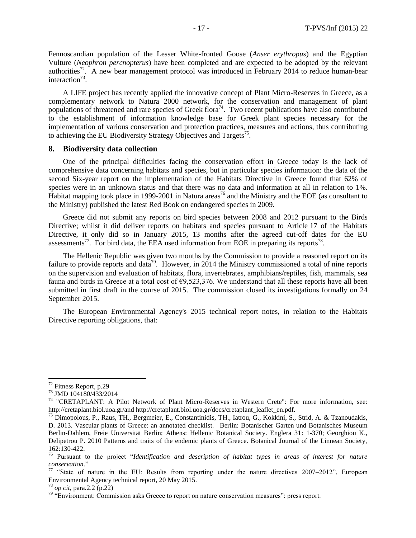Fennoscandian population of the Lesser White-fronted Goose (*Anser erythropus*) and the Egyptian Vulture (*Neophron percnopterus*) have been completed and are expected to be adopted by the relevant authorities<sup>72</sup>. A new bear management protocol was introduced in February 2014 to reduce human-bear interaction<sup>73</sup>.

A LIFE project has recently applied the innovative concept of Plant Micro-Reserves in Greece, as a complementary network to Natura 2000 network, for the conservation and management of plant populations of threatened and rare species of Greek flora<sup>74</sup>. Two recent publications have also contributed to the establishment of information knowledge base for Greek plant species necessary for the implementation of various conservation and protection practices, measures and actions, thus contributing to achieving the EU Biodiversity Strategy Objectives and Targets<sup>75</sup>.

#### **8. Biodiversity data collection**

One of the principal difficulties facing the conservation effort in Greece today is the lack of comprehensive data concerning habitats and species, but in particular species information: the data of the second Six-year report on the implementation of the Habitats Directive in Greece found that 62% of species were in an unknown status and that there was no data and information at all in relation to 1%. Habitat mapping took place in 1999-2001 in Natura areas<sup>76</sup> and the Ministry and the EOE (as consultant to the Ministry) published the latest Red Book on endangered species in 2009.

Greece did not submit any reports on bird species between 2008 and 2012 pursuant to the Birds Directive; whilst it did deliver reports on habitats and species pursuant to Article 17 of the Habitats Directive, it only did so in January 2015, 13 months after the agreed cut-off dates for the EU assessments<sup>77</sup>. For bird data, the EEA used information from EOE in preparing its reports<sup>78</sup>.

The Hellenic Republic was given two months by the Commission to provide a reasoned report on its failure to provide reports and data<sup>79</sup>. However, in 2014 the Ministry commissioned a total of nine reports on the supervision and evaluation of habitats, flora, invertebrates, amphibians/reptiles, fish, mammals, sea fauna and birds in Greece at a total cost of  $\epsilon$ 9,523,376. We understand that all these reports have all been submitted in first draft in the course of 2015. The commission closed its investigations formally on 24 September 2015.

The European Environmental Agency's 2015 technical report notes, in relation to the Habitats Directive reporting obligations, that:

<sup>&</sup>lt;sup>72</sup> Fitness Report, p.29

<sup>73</sup> JMD 104180/433/2014

<sup>74</sup> "CRETAPLANT: A Pilot Network of Plant Micro-Reserves in Western Crete": For more information, see: http://cretaplant.biol.uoa.gr/and http://cretaplant.biol.uoa.gr/docs/cretaplant\_leaflet\_en.pdf.

 $^{75}$  Dimopolous, P., Raus, TH., Bergmeier, E., Constantinidis, TH., Iatrou, G., Kokkini, S., Strid, A. & Tzanoudakis, D. 2013. Vascular plants of Greece: an annotated checklist. –Berlin: Botanischer Garten und Botanisches Museum Berlin-Dahlem, Freie Universität Berlin; Athens: Hellenic Botanical Society. Englera 31: 1-370; Georghiou K., Delipetrou P. 2010 Patterns and traits of the endemic plants of Greece. Botanical Journal of the Linnean Society, 162:130-422.

<sup>76</sup> Pursuant to the project "*Identification and description of habitat types in areas of interest for nature conservation*."

<sup>&</sup>lt;sup>77</sup> "State of nature in the EU: Results from reporting under the nature directives 2007–2012", European Environmental Agency technical report, 20 May 2015.

<sup>78</sup> *op cit*, para.2.2 (p.22)

<sup>&</sup>lt;sup>79</sup> "Environment: Commission asks Greece to report on nature conservation measures": press report.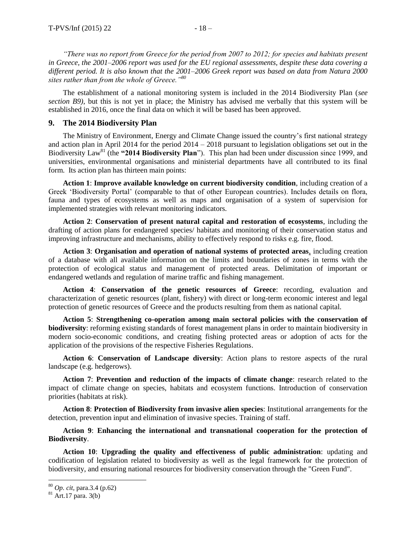*"There was no report from Greece for the period from 2007 to 2012; for species and habitats present in Greece, the 2001–2006 report was used for the EU regional assessments, despite these data covering a different period. It is also known that the 2001–2006 Greek report was based on data from Natura 2000 sites rather than from the whole of Greece."<sup>80</sup>*

The establishment of a national monitoring system is included in the 2014 Biodiversity Plan (*see section B9)*, but this is not yet in place; the Ministry has advised me verbally that this system will be established in 2016, once the final data on which it will be based has been approved.

#### **9. The 2014 Biodiversity Plan**

The Ministry of Environment, Energy and Climate Change issued the country's first national strategy and action plan in April 2014 for the period 2014 – 2018 pursuant to legislation obligations set out in the Biodiversity Law<sup>81</sup> (the "2014 Biodiversity Plan"). This plan had been under discussion since 1999, and universities, environmental organisations and ministerial departments have all contributed to its final form. Its action plan has thirteen main points:

**Action 1**: **Improve available knowledge on current biodiversity condition**, including creation of a Greek 'Biodiversity Portal' (comparable to that of other European countries). Includes details on flora, fauna and types of ecosystems as well as maps and organisation of a system of supervision for implemented strategies with relevant monitoring indicators.

**Action 2**: **Conservation of present natural capital and restoration of ecosystems**, including the drafting of action plans for endangered species/ habitats and monitoring of their conservation status and improving infrastructure and mechanisms, ability to effectively respond to risks e.g. fire, flood.

**Action 3**: **Organisation and operation of national systems of protected areas**, including creation of a database with all available information on the limits and boundaries of zones in terms with the protection of ecological status and management of protected areas. Delimitation of important or endangered wetlands and regulation of marine traffic and fishing management.

**Action 4**: **Conservation of the genetic resources of Greece**: recording, evaluation and characterization of genetic resources (plant, fishery) with direct or long-term economic interest and legal protection of genetic resources of Greece and the products resulting from them as national capital.

**Action 5**: **Strengthening co-operation among main sectoral policies with the conservation of biodiversity**: reforming existing standards of forest management plans in order to maintain biodiversity in modern socio-economic conditions, and creating fishing protected areas or adoption of acts for the application of the provisions of the respective Fisheries Regulations.

**Action 6**: **Conservation of Landscape diversity**: Action plans to restore aspects of the rural landscape (e.g. hedgerows).

**Action 7**: **Prevention and reduction of the impacts of climate change**: research related to the impact of climate change on species, habitats and ecosystem functions. Introduction of conservation priorities (habitats at risk).

**Action 8**: **Protection of Biodiversity from invasive alien species**: Institutional arrangements for the detection, prevention input and elimination of invasive species. Training of staff.

#### **Action 9**: **Enhancing the international and transnational cooperation for the protection of Biodiversity**.

**Action 10**: **Upgrading the quality and effectiveness of public administration**: updating and codification of legislation related to biodiversity as well as the legal framework for the protection of biodiversity, and ensuring national resources for biodiversity conservation through the "Green Fund".

<sup>80</sup> *Op. cit*, para.3.4 (p.62)

 $81$  Art.17 para. 3(b)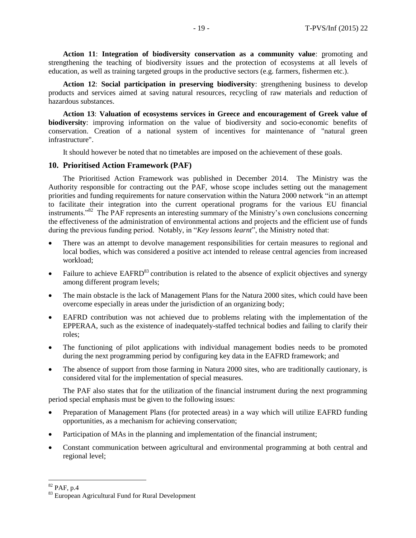**Action 11**: **Integration of biodiversity conservation as a community value**: promoting and strengthening the teaching of biodiversity issues and the protection of ecosystems at all levels of education, as well as training targeted groups in the productive sectors (e.g. farmers, fishermen etc.).

**Action 12**: **Social participation in preserving biodiversity**: strengthening business to develop products and services aimed at saving natural resources, recycling of raw materials and reduction of hazardous substances.

**Action 13**: **Valuation of ecosystems services in Greece and encouragement of Greek value of biodiversity**: improving information on the value of biodiversity and socio-economic benefits of conservation. Creation of a national system of incentives for maintenance of "natural green infrastructure".

It should however be noted that no timetables are imposed on the achievement of these goals.

#### **10. Prioritised Action Framework (PAF)**

The Prioritised Action Framework was published in December 2014. The Ministry was the Authority responsible for contracting out the PAF, whose scope includes setting out the management priorities and funding requirements for nature conservation within the Natura 2000 network "in an attempt to facilitate their integration into the current operational programs for the various EU financial instruments."<sup>82</sup> The PAF represents an interesting summary of the Ministry's own conclusions concerning the effectiveness of the administration of environmental actions and projects and the efficient use of funds during the previous funding period. Notably, in "*Key lessons learnt*", the Ministry noted that:

- There was an attempt to devolve management responsibilities for certain measures to regional and local bodies, which was considered a positive act intended to release central agencies from increased workload;
- Failure to achieve  $EAFRD^{83}$  contribution is related to the absence of explicit objectives and synergy among different program levels;
- The main obstacle is the lack of Management Plans for the Natura 2000 sites, which could have been overcome especially in areas under the jurisdiction of an organizing body;
- EAFRD contribution was not achieved due to problems relating with the implementation of the EPPERAA, such as the existence of inadequately-staffed technical bodies and failing to clarify their roles;
- The functioning of pilot applications with individual management bodies needs to be promoted during the next programming period by configuring key data in the EAFRD framework; and
- The absence of support from those farming in Natura 2000 sites, who are traditionally cautionary, is considered vital for the implementation of special measures.

The PAF also states that for the utilization of the financial instrument during the next programming period special emphasis must be given to the following issues:

- Preparation of Management Plans (for protected areas) in a way which will utilize EAFRD funding opportunities, as a mechanism for achieving conservation;
- Participation of MAs in the planning and implementation of the financial instrument;
- Constant communication between agricultural and environmental programming at both central and regional level;

 $82$  PAF, p.4

<sup>83</sup> European Agricultural Fund for Rural Development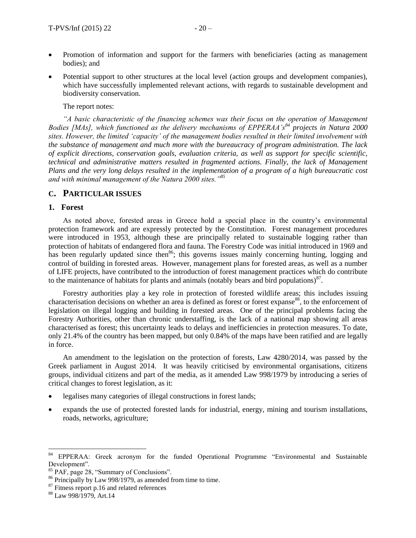- Promotion of information and support for the farmers with beneficiaries (acting as management bodies); and
- Potential support to other structures at the local level (action groups and development companies), which have successfully implemented relevant actions, with regards to sustainable development and biodiversity conservation.

The report notes:

*"A basic characteristic of the financing schemes was their focus on the operation of Management Bodies [MAs], which functioned as the delivery mechanisms of EPPERAA's<sup>84</sup> projects in Natura 2000 sites. However, the limited 'capacity' of the management bodies resulted in their limited involvement with the substance of management and much more with the bureaucracy of program administration. The lack of explicit directions, conservation goals, evaluation criteria, as well as support for specific scientific, technical and administrative matters resulted in fragmented actions. Finally, the lack of Management Plans and the very long delays resulted in the implementation of a program of a high bureaucratic cost and with minimal management of the Natura 2000 sites."<sup>85</sup>*

#### **C. PARTICULAR ISSUES**

#### **1. Forest**

As noted above, forested areas in Greece hold a special place in the country's environmental protection framework and are expressly protected by the Constitution. Forest management procedures were introduced in 1953, although these are principally related to sustainable logging rather than protection of habitats of endangered flora and fauna. The Forestry Code was initial introduced in 1969 and has been regularly updated since then<sup>86</sup>; this governs issues mainly concerning hunting, logging and control of building in forested areas. However, management plans for forested areas, as well as a number of LIFE projects, have contributed to the introduction of forest management practices which do contribute to the maintenance of habitats for plants and animals (notably bears and bird populations) $^{87}$ .

Forestry authorities play a key role in protection of forested wildlife areas; this includes issuing characterisation decisions on whether an area is defined as forest or forest expanse<sup>88</sup>, to the enforcement of legislation on illegal logging and building in forested areas. One of the principal problems facing the Forestry Authorities, other than chronic understaffing, is the lack of a national map showing all areas characterised as forest; this uncertainty leads to delays and inefficiencies in protection measures. To date, only 21.4% of the country has been mapped, but only 0.84% of the maps have been ratified and are legally in force.

An amendment to the legislation on the protection of forests, Law 4280/2014, was passed by the Greek parliament in August 2014. It was heavily criticised by environmental organisations, citizens groups, individual citizens and part of the media, as it amended Law 998/1979 by introducing a series of critical changes to forest legislation, as it:

- legalises many categories of illegal constructions in forest lands;
- expands the use of protected forested lands for industrial, energy, mining and tourism installations, roads, networks, agriculture;

 $84\,$ <sup>84</sup> EPPERAA: Greek acronym for the funded Operational Programme "Environmental and Sustainable Development".

<sup>85</sup> PAF, page 28, "Summary of Conclusions".

<sup>86</sup> Principally by Law 998/1979, as amended from time to time.

 $87$  Fitness report p.16 and related references

<sup>88</sup> Law 998/1979, Art.14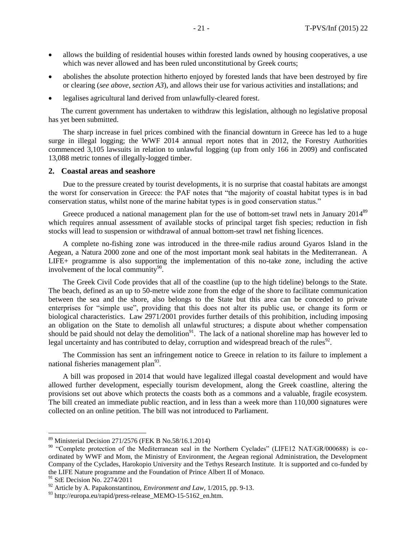- allows the building of residential houses within forested lands owned by housing cooperatives, a use which was never allowed and has been ruled unconstitutional by Greek courts;
- abolishes the absolute protection hitherto enjoyed by forested lands that have been destroyed by fire or clearing (*see above, section A3*), and allows their use for various activities and installations; and
- legalises agricultural land derived from unlawfully-cleared forest.

The current government has undertaken to withdraw this legislation, although no legislative proposal has yet been submitted.

The sharp increase in fuel prices combined with the financial downturn in Greece has led to a huge surge in illegal logging; the WWF 2014 annual report notes that in 2012, the Forestry Authorities commenced 3,105 lawsuits in relation to unlawful logging (up from only 166 in 2009) and confiscated 13,088 metric tonnes of illegally-logged timber.

#### **2. Coastal areas and seashore**

Due to the pressure created by tourist developments, it is no surprise that coastal habitats are amongst the worst for conservation in Greece: the PAF notes that "the majority of coastal habitat types is in bad conservation status, whilst none of the marine habitat types is in good conservation status."

Greece produced a national management plan for the use of bottom-set trawl nets in January 2014<sup>89</sup> which requires annual assessment of available stocks of principal target fish species; reduction in fish stocks will lead to suspension or withdrawal of annual bottom-set trawl net fishing licences.

A complete no-fishing zone was introduced in the three-mile radius around Gyaros Island in the Aegean, a Natura 2000 zone and one of the most important monk seal habitats in the Mediterranean. A LIFE+ programme is also supporting the implementation of this no-take zone, including the active involvement of the local community $90$ .

The Greek Civil Code provides that all of the coastline (up to the high tideline) belongs to the State. The beach, defined as an up to 50-metre wide zone from the edge of the shore to facilitate communication between the sea and the shore, also belongs to the State but this area can be conceded to private enterprises for "simple use", providing that this does not alter its public use, or change its form or biological characteristics. Law 2971/2001 provides further details of this prohibition, including imposing an obligation on the State to demolish all unlawful structures; a dispute about whether compensation should be paid should not delay the demolition<sup>91</sup>. The lack of a national shoreline map has however led to legal uncertainty and has contributed to delay, corruption and widespread breach of the rules<sup>92</sup>.

The Commission has sent an infringement notice to Greece in relation to its failure to implement a national fisheries management plan<sup>93</sup>.

A bill was proposed in 2014 that would have legalized illegal coastal development and would have allowed further development, especially tourism development, along the Greek coastline, altering the provisions set out above which protects the coasts both as a commons and a valuable, fragile ecosystem. The bill created an immediate public reaction, and in less than a week more than 110,000 signatures were collected on an online petition. The bill was not introduced to Parliament.

<sup>89</sup> Ministerial Decision 271/2576 (FEK B No.58/16.1.2014)

<sup>&</sup>lt;sup>90</sup> "Complete protection of the Mediterranean seal in the Northern Cyclades" (LIFE12 NAT/GR/000688) is coordinated by WWF and Mom, the Ministry of Environment, the Aegean regional Administration, the Development Company of the Cyclades, Harokopio University and the Tethys Research Institute. It is supported and co-funded by the LIFE Nature programme and the Foundation of Prince Albert II of Monaco.

<sup>&</sup>lt;sup>91</sup> StE Decision No. 2274/2011

<sup>&</sup>lt;sup>92</sup> Article by A. Papakonstantinou, *Environment and Law*, 1/2015, pp. 9-13.

<sup>93</sup> http://europa.eu/rapid/press-release\_MEMO-15-5162\_en.htm.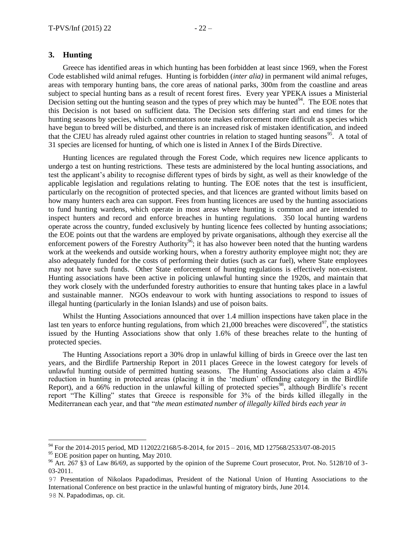#### **3. Hunting**

Greece has identified areas in which hunting has been forbidden at least since 1969, when the Forest Code established wild animal refuges. Hunting is forbidden (*inter alia)* in permanent wild animal refuges, areas with temporary hunting bans, the core areas of national parks, 300m from the coastline and areas subject to special hunting bans as a result of recent forest fires. Every year YPEKA issues a Ministerial Decision setting out the hunting season and the types of prey which may be hunted<sup>94</sup>. The EOE notes that this Decision is not based on sufficient data. The Decision sets differing start and end times for the hunting seasons by species, which commentators note makes enforcement more difficult as species which have begun to breed will be disturbed, and there is an increased risk of mistaken identification, and indeed that the CJEU has already ruled against other countries in relation to staged hunting seasons<sup>95</sup>. A total of 31 species are licensed for hunting, of which one is listed in Annex I of the Birds Directive.

Hunting licences are regulated through the Forest Code, which requires new licence applicants to undergo a test on hunting restrictions. These tests are administered by the local hunting associations, and test the applicant's ability to recognise different types of birds by sight, as well as their knowledge of the applicable legislation and regulations relating to hunting. The EOE notes that the test is insufficient, particularly on the recognition of protected species, and that licences are granted without limits based on how many hunters each area can support. Fees from hunting licences are used by the hunting associations to fund hunting wardens, which operate in most areas where hunting is common and are intended to inspect hunters and record and enforce breaches in hunting regulations. 350 local hunting wardens operate across the country, funded exclusively by hunting licence fees collected by hunting associations; the EOE points out that the wardens are employed by private organisations, although they exercise all the enforcement powers of the Forestry Authority<sup>96</sup>; it has also however been noted that the hunting wardens work at the weekends and outside working hours, when a forestry authority employee might not; they are also adequately funded for the costs of performing their duties (such as car fuel), where State employees may not have such funds. Other State enforcement of hunting regulations is effectively non-existent. Hunting associations have been active in policing unlawful hunting since the 1920s, and maintain that they work closely with the underfunded forestry authorities to ensure that hunting takes place in a lawful and sustainable manner. NGOs endeavour to work with hunting associations to respond to issues of illegal hunting (particularly in the Ionian Islands) and use of poison baits.

Whilst the Hunting Associations announced that over 1.4 million inspections have taken place in the last ten years to enforce hunting regulations, from which  $21,000$  breaches were discovered<sup>97</sup>, the statistics issued by the Hunting Associations show that only 1.6% of these breaches relate to the hunting of protected species.

The Hunting Associations report a 30% drop in unlawful killing of birds in Greece over the last ten years, and the Birdlife Partnership Report in 2011 places Greece in the lowest category for levels of unlawful hunting outside of permitted hunting seasons. The Hunting Associations also claim a 45% reduction in hunting in protected areas (placing it in the 'medium' offending category in the Birdlife Report), and a 66% reduction in the unlawful killing of protected species<sup>98</sup>, although Birdlife's recent report "The Killing" states that Greece is responsible for 3% of the birds killed illegally in the Mediterranean each year, and that "*the mean estimated number of illegally killed birds each year in* 

<sup>&</sup>lt;sup>94</sup> For the 2014-2015 period, MD [112022/2168/5-8-2014, for 2](https://dasarxeio.files.wordpress.com/2014/08/112022_2168.pdf)015 – 2016, MD 127568/2533/07-08-2015

 $95$  EOE position paper on hunting, May 2010.

<sup>&</sup>lt;sup>96</sup> Art. 267 §3 of Law 86/69, as supported by the opinion of the Supreme Court prosecutor, Prot. No. 5128/10 of 3-03-2011.

<sup>97</sup> Presentation of Nikolaos Papadodimas, President of the National Union of Hunting Associations to the International Conference on best practice in the unlawful hunting of migratory birds, June 2014. 98 N. Papadodimas, op. cit.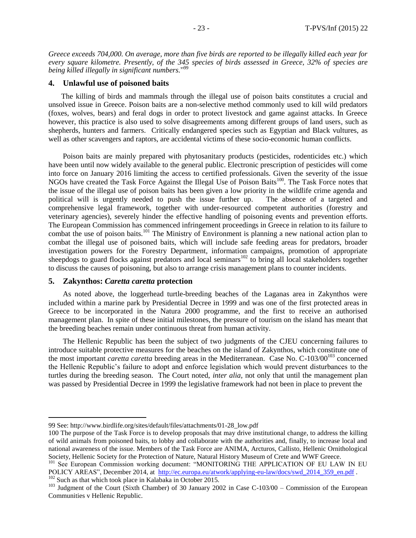*Greece exceeds 704,000. On average, more than five birds are reported to be illegally killed each year for every square kilometre. Presently, of the 345 species of birds assessed in Greece, 32% of species are being killed illegally in significant numbers.*" 99

#### **4. Unlawful use of poisoned baits**

The killing of birds and mammals through the illegal use of poison baits constitutes a crucial and unsolved issue in Greece. Poison baits are a non-selective method commonly used to kill wild predators (foxes, wolves, bears) and feral dogs in order to protect livestock and game against attacks. In Greece however, this practice is also used to solve disagreements among different groups of land users, such as shepherds, hunters and farmers. Critically endangered species such as Egyptian and Black vultures, as well as other scavengers and raptors, are accidental victims of these socio-economic human conflicts.

Poison baits are mainly prepared with phytosanitary products (pesticides, rodenticides etc.) which have been until now widely available to the general public. Electronic prescription of pesticides will come into force on January 2016 limiting the access to certified professionals. Given the severity of the issue NGOs have created the Task Force Against the Illegal Use of Poison Baits<sup>100</sup>. The Task Force notes that the issue of the illegal use of poison baits has been given a low priority in the wildlife crime agenda and political will is urgently needed to push the issue further up. The absence of a targeted and comprehensive legal framework, together with under-resourced competent authorities (forestry and veterinary agencies), severely hinder the effective handling of poisoning events and prevention efforts. The European Commission has commenced infringement proceedings in Greece in relation to its failure to combat the use of poison baits.<sup>101</sup> The Ministry of Environment is planning a new national action plan to combat the illegal use of poisoned baits, which will include safe feeding areas for predators, broader investigation powers for the Forestry Department, information campaigns, promotion of appropriate sheepdogs to guard flocks against predators and local seminars<sup>102</sup> to bring all local stakeholders together to discuss the causes of poisoning, but also to arrange crisis management plans to counter incidents.

#### **5. Zakynthos:** *Caretta caretta* **protection**

 $\overline{a}$ 

As noted above, the loggerhead turtle-breeding beaches of the Laganas area in Zakynthos were included within a marine park by Presidential Decree in 1999 and was one of the first protected areas in Greece to be incorporated in the Natura 2000 programme, and the first to receive an authorised management plan. In spite of these initial milestones, the pressure of tourism on the island has meant that the breeding beaches remain under continuous threat from human activity.

The Hellenic Republic has been the subject of two judgments of the CJEU concerning failures to introduce suitable protective measures for the beaches on the island of Zakynthos, which constitute one of the most important *caretta caretta* breeding areas in the Mediterranean. Case No. C-103/00<sup>103</sup> concerned the Hellenic Republic's failure to adopt and enforce legislation which would prevent disturbances to the turtles during the breeding season. The Court noted, *inter alia,* not only that until the management plan was passed by Presidential Decree in 1999 the legislative framework had not been in place to prevent the

<sup>99</sup> See: http://www.birdlife.org/sites/default/files/attachments/01-28\_low.pdf

<sup>100</sup> The purpose of the Task Force is to develop proposals that may drive institutional change, to address the killing of wild animals from poisoned baits, to lobby and collaborate with the authorities and, finally, to increase local and national awareness of the issue. Members of the Task Force are ANIMA, Arcturos, Callisto, Hellenic Ornithological Society, Hellenic Society for the Protection of Nature, Natural History Museum of Crete and WWF Greece.

<sup>&</sup>lt;sup>101</sup> See European Commission working document: "MONITORING THE APPLICATION OF EU LAW IN EU POLICY AREAS", December 2014, at [http://ec.europa.eu/atwork/applying-eu-law/docs/swd\\_2014\\_359\\_en.pdf](http://ec.europa.eu/atwork/applying-eu-law/docs/swd_2014_359_en.pdf) .

<sup>&</sup>lt;sup>102</sup> Such as that which took place in Kalabaka in October 2015.

<sup>&</sup>lt;sup>103</sup> Judgment of the Court (Sixth Chamber) of 30 January 2002 in Case C-103/00 – Commission of the European Communities v Hellenic Republic.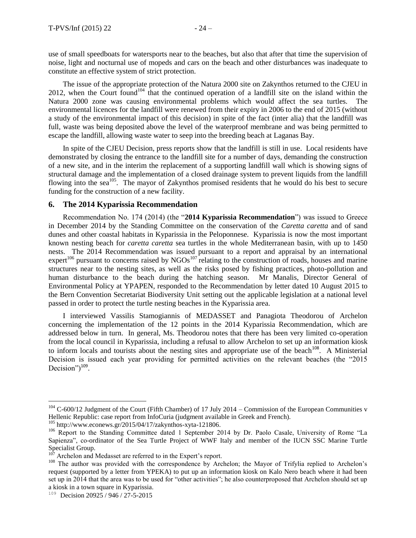use of small speedboats for watersports near to the beaches, but also that after that time the supervision of noise, light and nocturnal use of mopeds and cars on the beach and other disturbances was inadequate to constitute an effective system of strict protection.

The issue of the appropriate protection of the Natura 2000 site on Zakynthos returned to the CJEU in 2012, when the Court found<sup>104</sup> that the continued operation of a landfill site on the island within the Natura 2000 zone was causing environmental problems which would affect the sea turtles. The environmental licences for the landfill were renewed from their expiry in 2006 to the end of 2015 (without a study of the environmental impact of this decision) in spite of the fact (inter alia) that the landfill was full, waste was being deposited above the level of the waterproof membrane and was being permitted to escape the landfill, allowing waste water to seep into the breeding beach at Laganas Bay.

In spite of the CJEU Decision, press reports show that the landfill is still in use. Local residents have demonstrated by closing the entrance to the landfill site for a number of days, demanding the construction of a new site, and in the interim the replacement of a supporting landfill wall which is showing signs of structural damage and the implementation of a closed drainage system to prevent liquids from the landfill flowing into the sea<sup>105</sup>. The mayor of Zakynthos promised residents that he would do his best to secure funding for the construction of a new facility.

#### **6. The 2014 Kyparissia Recommendation**

Recommendation No. 174 (2014) (the "**2014 Kyparissia Recommendation**") was issued to Greece in December 2014 by the Standing Committee on the conservation of the *Caretta caretta* and of sand dunes and other coastal habitats in Kyparissia in the Peloponnese. Kyparissia is now the most important known nesting beach for *caretta caretta* sea turtles in the whole Mediterranean basin, with up to 1450 nests. The 2014 Recommendation was issued pursuant to a report and appraisal by an international expert<sup>106</sup> pursuant to concerns raised by  $NGOs<sup>107</sup>$  relating to the construction of roads, houses and marine structures near to the nesting sites, as well as the risks posed by fishing practices, photo-pollution and human disturbance to the beach during the hatching season. Mr Manalis, Director General of Environmental Policy at YPAPEN, responded to the Recommendation by letter dated 10 August 2015 to the Bern Convention Secretariat Biodiversity Unit setting out the applicable legislation at a national level passed in order to protect the turtle nesting beaches in the Kyparissia area.

I interviewed Vassilis Stamogiannis of MEDASSET and Panagiota Theodorou of Archelon concerning the implementation of the 12 points in the 2014 Kyparissia Recommendation, which are addressed below in turn. In general, Ms. Theodorou notes that there has been very limited co-operation from the local council in Kyparissia, including a refusal to allow Archelon to set up an information kiosk to inform locals and tourists about the nesting sites and appropriate use of the beach<sup>108</sup>. A Ministerial Decision is issued each year providing for permitted activities on the relevant beaches (the "2015 Decision") $109$ .

<sup>105</sup> http://www.econews.gr/2015/04/17/zakynthos-xyta-121806.

 $104$  C-600/12 Judgment of the Court (Fifth Chamber) of 17 July 2014 – Commission of the European Communities v Hellenic Republic: case report from InfoCuria (judgment available in Greek and French).

<sup>&</sup>lt;sup>106</sup> Report to the Standing Committee dated 1 September 2014 by Dr. Paolo Casale, University of Rome "La Sapienza", co-ordinator of the Sea Turtle Project of WWF Italy and member of the IUCN SSC Marine Turtle Specialist Group.<br> $\frac{107}{2}$  Aughelan and 1

Archelon and Medasset are referred to in the Expert's report.

<sup>&</sup>lt;sup>108</sup> The author was provided with the correspondence by Archelon; the Mayor of Trifylia replied to Archelon's request (supported by a letter from YPEKA) to put up an information kiosk on Kalo Nero beach where it had been set up in 2014 that the area was to be used for "other activities"; he also counterproposed that Archelon should set up a kiosk in a town square in Kyparissia.

<sup>&</sup>lt;sup>109</sup> Decision 20925 / 946 / 27-5-2015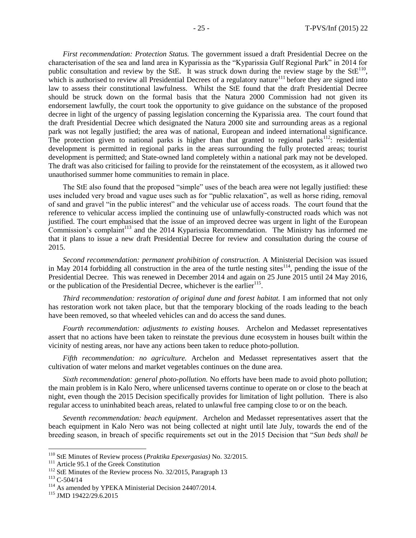*First recommendation: Protection Status.* The government issued a draft Presidential Decree on the characterisation of the sea and land area in Kyparissia as the "Kyparissia Gulf Regional Park" in 2014 for public consultation and review by the StE. It was struck down during the review stage by the  $StE<sup>110</sup>$ , which is authorised to review all Presidential Decrees of a regulatory nature<sup>111</sup> before they are signed into law to assess their constitutional lawfulness. Whilst the StE found that the draft Presidential Decree should be struck down on the formal basis that the Natura 2000 Commission had not given its endorsement lawfully, the court took the opportunity to give guidance on the substance of the proposed decree in light of the urgency of passing legislation concerning the Kyparissia area. The court found that the draft Presidential Decree which designated the Natura 2000 site and surrounding areas as a regional park was not legally justified; the area was of national, European and indeed international significance. The protection given to national parks is higher than that granted to regional parks<sup>112</sup>: residential development is permitted in regional parks in the areas surrounding the fully protected areas; tourist development is permitted; and State-owned land completely within a national park may not be developed. The draft was also criticised for failing to provide for the reinstatement of the ecosystem, as it allowed two unauthorised summer home communities to remain in place.

The StE also found that the proposed "simple" uses of the beach area were not legally justified: these uses included very broad and vague uses such as for "public relaxation", as well as horse riding, removal of sand and gravel "in the public interest" and the vehicular use of access roads. The court found that the reference to vehicular access implied the continuing use of unlawfully-constructed roads which was not justified. The court emphasised that the issue of an improved decree was urgent in light of the European Commission's complaint<sup>113</sup> and the 2014 Kyparissia Recommendation. The Ministry has informed me that it plans to issue a new draft Presidential Decree for review and consultation during the course of 2015.

*Second recommendation: permanent prohibition of construction.* A Ministerial Decision was issued in May 2014 forbidding all construction in the area of the turtle nesting sites<sup>114</sup>, pending the issue of the Presidential Decree. This was renewed in December 2014 and again on 25 June 2015 until 24 May 2016, or the publication of the Presidential Decree, whichever is the earlier<sup>115</sup>.

*Third recommendation: restoration of original dune and forest habitat.* I am informed that not only has restoration work not taken place, but that the temporary blocking of the roads leading to the beach have been removed, so that wheeled vehicles can and do access the sand dunes.

*Fourth recommendation: adjustments to existing houses.* Archelon and Medasset representatives assert that no actions have been taken to reinstate the previous dune ecosystem in houses built within the vicinity of nesting areas, nor have any actions been taken to reduce photo-pollution.

*Fifth recommendation: no agriculture.* Archelon and Medasset representatives assert that the cultivation of water melons and market vegetables continues on the dune area.

*Sixth recommendation: general photo-pollution.* No efforts have been made to avoid photo pollution; the main problem is in Kalo Nero, where unlicensed taverns continue to operate on or close to the beach at night, even though the 2015 Decision specifically provides for limitation of light pollution. There is also regular access to uninhabited beach areas, related to unlawful free camping close to or on the beach.

*Seventh recommendation: beach equipment*. Archelon and Medasset representatives assert that the beach equipment in Kalo Nero was not being collected at night until late July, towards the end of the breeding season, in breach of specific requirements set out in the 2015 Decision that "*Sun beds shall be* 

<sup>110</sup> StE Minutes of Review process (*Praktika Epexergasias)* No. 32/2015.

<sup>&</sup>lt;sup>111</sup> Article 95.1 of the Greek Constitution

<sup>&</sup>lt;sup>112</sup> StE Minutes of the Review process No. 32/2015, Paragraph 13

 $113$  C-504/14

<sup>&</sup>lt;sup>114</sup> As amended by YPEKA Ministerial Decision 24407/2014.

<sup>115</sup> JMD 19422/29.6.2015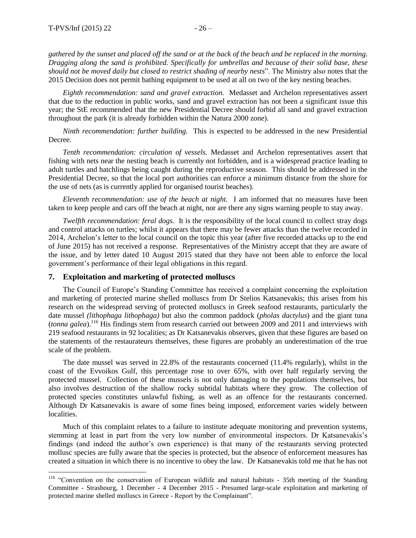$\overline{a}$ 

*gathered by the sunset and placed off the sand or at the back of the beach and be replaced in the morning. Dragging along the sand is prohibited. Specifically for umbrellas and because of their solid base, these should not be moved daily but closed to restrict shading of nearby nests*". The Ministry also notes that the 2015 Decision does not permit bathing equipment to be used at all on two of the key nesting beaches.

*Eighth recommendation: sand and gravel extraction.* Medasset and Archelon representatives assert that due to the reduction in public works, sand and gravel extraction has not been a significant issue this year; the StE recommended that the new Presidential Decree should forbid all sand and gravel extraction throughout the park (it is already forbidden within the Natura 2000 zone).

*Ninth recommendation: further building.* This is expected to be addressed in the new Presidential Decree.

*Tenth recommendation: circulation of vessels.* Medasset and Archelon representatives assert that fishing with nets near the nesting beach is currently not forbidden, and is a widespread practice leading to adult turtles and hatchlings being caught during the reproductive season. This should be addressed in the Presidential Decree, so that the local port authorities can enforce a minimum distance from the shore for the use of nets (as is currently applied for organised tourist beaches).

*Eleventh recommendation: use of the beach at night.* I am informed that no measures have been taken to keep people and cars off the beach at night, nor are there any signs warning people to stay away.

*Twelfth recommendation: feral dogs.* It is the responsibility of the local council to collect stray dogs and control attacks on turtles; whilst it appears that there may be fewer attacks than the twelve recorded in 2014, Archelon's letter to the local council on the topic this year (after five recorded attacks up to the end of June 2015) has not received a response. Representatives of the Ministry accept that they are aware of the issue, and by letter dated 10 August 2015 stated that they have not been able to enforce the local government's performance of their legal obligations in this regard.

#### **7. Exploitation and marketing of protected molluscs**

The Council of Europe's Standing Committee has received a complaint concerning the exploitation and marketing of protected marine shelled molluscs from Dr Stelios Katsanevakis; this arises from his research on the widespread serving of protected molluscs in Greek seafood restaurants, particularly the date mussel *(lithophaga lithophaga)* but also the common paddock (*pholas dactylus*) and the giant tuna (*tonna galea*).<sup>116</sup> His findings stem from research carried out between 2009 and 2011 and interviews with 219 seafood restaurants in 92 localities; as Dr Katsanevakis observes, given that these figures are based on the statements of the restaurateurs themselves, these figures are probably an underestimation of the true scale of the problem.

The date mussel was served in 22.8% of the restaurants concerned (11.4% regularly), whilst in the coast of the Evvoikos Gulf, this percentage rose to over 65%, with over half regularly serving the protected mussel. Collection of these mussels is not only damaging to the populations themselves, but also involves destruction of the shallow rocky subtidal habitats where they grow. The collection of protected species constitutes unlawful fishing, as well as an offence for the restaurants concerned. Although Dr Katsanevakis is aware of some fines being imposed, enforcement varies widely between localities.

Much of this complaint relates to a failure to institute adequate monitoring and prevention systems, stemming at least in part from the very low number of environmental inspectors. Dr Katsanevakis's findings (and indeed the author's own experience) is that many of the restaurants serving protected mollusc species are fully aware that the species is protected, but the absence of enforcement measures has created a situation in which there is no incentive to obey the law. Dr Katsanevakis told me that he has not

<sup>&</sup>lt;sup>116</sup> "Convention on the conservation of European wildlife and natural habitats - 35th meeting of the Standing Committee - Strasbourg, 1 December - 4 December 2015 - Presumed large-scale exploitation and marketing of protected marine shelled molluscs in Greece - Report by the Complainant".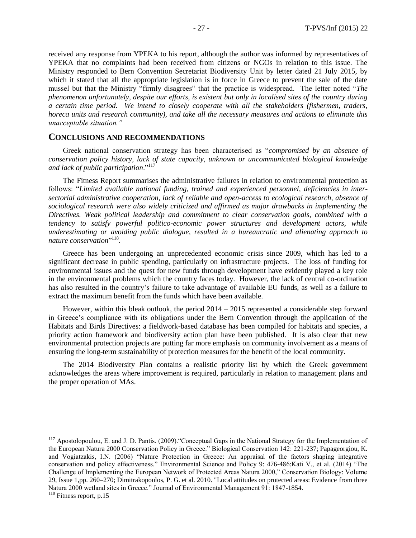received any response from YPEKA to his report, although the author was informed by representatives of YPEKA that no complaints had been received from citizens or NGOs in relation to this issue. The Ministry responded to Bern Convention Secretariat Biodiversity Unit by letter dated 21 July 2015, by which it stated that all the appropriate legislation is in force in Greece to prevent the sale of the date mussel but that the Ministry "firmly disagrees" that the practice is widespread. The letter noted "*The phenomenon unfortunately, despite our efforts, is existent but only in localised sites of the country during a certain time period. We intend to closely cooperate with all the stakeholders (fishermen, traders, horeca units and research community), and take all the necessary measures and actions to eliminate this unacceptable situation."*

#### **CONCLUSIONS AND RECOMMENDATIONS**

Greek national conservation strategy has been characterised as "*compromised by an absence of conservation policy history, lack of state capacity, unknown or uncommunicated biological knowledge and lack of public participation*."<sup>117</sup>

The Fitness Report summarises the administrative failures in relation to environmental protection as follows: "*Limited available national funding, trained and experienced personnel, deficiencies in intersectorial administrative cooperation, lack of reliable and open-access to ecological research, absence of sociological research were also widely criticized and affirmed as major drawbacks in implementing the Directives. Weak political leadership and commitment to clear conservation goals, combined with a tendency to satisfy powerful politico-economic power structures and development actors, while underestimating or avoiding public dialogue, resulted in a bureaucratic and alienating approach to*  nature conservation<sup>"118</sup>.

Greece has been undergoing an unprecedented economic crisis since 2009, which has led to a significant decrease in public spending, particularly on infrastructure projects. The loss of funding for environmental issues and the quest for new funds through development have evidently played a key role in the environmental problems which the country faces today. However, the lack of central co-ordination has also resulted in the country's failure to take advantage of available EU funds, as well as a failure to extract the maximum benefit from the funds which have been available.

However, within this bleak outlook, the period 2014 – 2015 represented a considerable step forward in Greece's compliance with its obligations under the Bern Convention through the application of the Habitats and Birds Directives: a fieldwork-based database has been compiled for habitats and species, a priority action framework and biodiversity action plan have been published. It is also clear that new environmental protection projects are putting far more emphasis on community involvement as a means of ensuring the long-term sustainability of protection measures for the benefit of the local community.

The 2014 Biodiversity Plan contains a realistic priority list by which the Greek government acknowledges the areas where improvement is required, particularly in relation to management plans and the proper operation of MAs.

<sup>&</sup>lt;sup>117</sup> Apostolopoulou, E. and J. D. Pantis. (2009). "Conceptual Gaps in the National Strategy for the Implementation of the European Natura 2000 Conservation Policy in Greece." Biological Conservation 142: 221-237; Papageorgiou, K. and Vogiatzakis, I.N. (2006) "Nature Protection in Greece: An appraisal of the factors shaping integrative conservation and policy effectiveness." Environmental Science and Policy 9: 476-486;Kati V., et al. (2014) "The Challenge of Implementing the European Network of Protected Areas Natura 2000," Conservation Biology: Volume 29, Issue 1,pp. 260–270; Dimitrakopoulos, P. G. et al. 2010. "Local attitudes on protected areas: Evidence from three Natura 2000 wetland sites in Greece." Journal of Environmental Management 91: 1847-1854.

<sup>&</sup>lt;sup>118</sup> Fitness report, p.15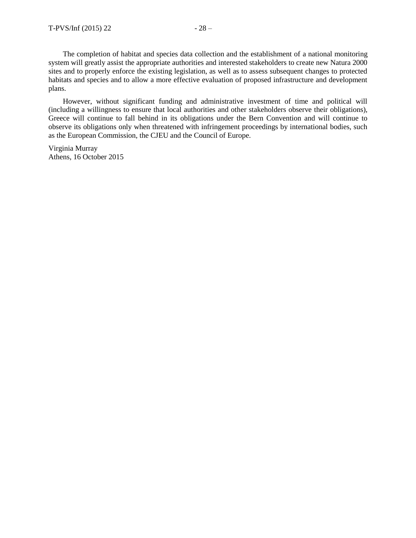The completion of habitat and species data collection and the establishment of a national monitoring system will greatly assist the appropriate authorities and interested stakeholders to create new Natura 2000 sites and to properly enforce the existing legislation, as well as to assess subsequent changes to protected habitats and species and to allow a more effective evaluation of proposed infrastructure and development plans.

However, without significant funding and administrative investment of time and political will (including a willingness to ensure that local authorities and other stakeholders observe their obligations), Greece will continue to fall behind in its obligations under the Bern Convention and will continue to observe its obligations only when threatened with infringement proceedings by international bodies, such as the European Commission, the CJEU and the Council of Europe.

Virginia Murray Athens, 16 October 2015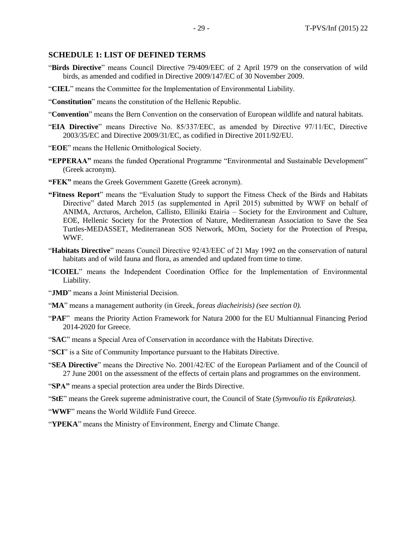#### **SCHEDULE 1: LIST OF DEFINED TERMS**

- "**Birds Directive**" means Council Directive 79/409/EEC of 2 April 1979 on the conservation of wild birds, as amended and codified in Directive 2009/147/EC of 30 November 2009.
- "**CIEL**" means the Committee for the Implementation of Environmental Liability.
- "**Constitution**" means the constitution of the Hellenic Republic.
- "**Convention**" means the Bern Convention on the conservation of European wildlife and natural habitats.
- "**EIA Directive**" means Directive No. 85/337/EEC, as amended by Directive 97/11/EC, Directive 2003/35/EC and Directive 2009/31/EC, as codified in Directive 2011/92/EU.
- "**EOE**" means the Hellenic Ornithological Society.
- **"EPPERAA"** means the funded Operational Programme "Environmental and Sustainable Development" (Greek acronym).
- **"FEK"** means the Greek Government Gazette (Greek acronym).
- **"Fitness Report**" means the "Evaluation Study to support the Fitness Check of the Birds and Habitats Directive" dated March 2015 (as supplemented in April 2015) submitted by WWF on behalf of ANIMA, Arcturos, Archelon, Callisto, Elliniki Etairia – Society for the Environment and Culture, EOE, Hellenic Society for the Protection of Nature, Mediterranean Association to Save the Sea Turtles-MEDASSET, Mediterranean SOS Network, MOm, Society for the Protection of Prespa, WWF.
- "**Habitats Directive**" means Council Directive 92/43/EEC of 21 May 1992 on the conservation of natural habitats and of wild fauna and flora, as amended and updated from time to time.
- "**ICOIEL**" means the Independent Coordination Office for the Implementation of Environmental Liability.
- "**JMD**" means a Joint Ministerial Decision.
- "**MA**" means a management authority (in Greek, *foreas diacheirisis) (see sectio[n 0\)](#page-12-0).*
- "**PAF**" means the Priority Action Framework for Natura 2000 for the EU Multiannual Financing Period 2014-2020 for Greece.
- "**SAC**" means a Special Area of Conservation in accordance with the Habitats Directive.
- "**SCI**" is a Site of Community Importance pursuant to the Habitats Directive.
- "**SEA Directive**" means the Directive No. 2001/42/EC of the European Parliament and of the Council of 27 June 2001 on the assessment of the effects of certain plans and programmes on the environment.
- "**SPA"** means a special protection area under the Birds Directive.

"**StE**" means the Greek supreme administrative court, the Council of State (*Symvoulio tis Epikrateias).*

"**WWF**" means the World Wildlife Fund Greece.

"**YPEKA**" means the Ministry of Environment, Energy and Climate Change.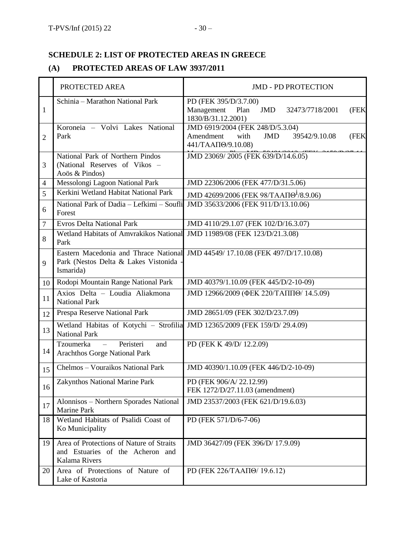## **SCHEDULE 2: LIST OF PROTECTED AREAS IN GREECE**

## **(A) PROTECTED AREAS OF LAW 3937/2011**

|                 | PROTECTED AREA                                                                                | <b>JMD - PD PROTECTION</b>                                                                                         |
|-----------------|-----------------------------------------------------------------------------------------------|--------------------------------------------------------------------------------------------------------------------|
| 1               | Schinia - Marathon National Park                                                              | PD (FEK 395/D/3.7.00)<br>Management<br><b>JMD</b><br>Plan<br>32473/7718/2001<br>(FEK<br>1830/B/31.12.2001)         |
| $\overline{2}$  | Koroneia - Volvi Lakes National<br>Park                                                       | JMD 6919/2004 (FEK 248/D/5.3.04)<br>Amendment<br>with<br><b>JMD</b><br>39542/9.10.08<br>(FEK<br>441/ТААП (9.10.08) |
| 3               | National Park of Northern Pindos<br>(National Reserves of Vikos -<br>Aoös & Pindos)           | JMD 23069/2005 (FEK 639/D/14.6.05)                                                                                 |
| 4               | Messolongi Lagoon National Park                                                               | JMD 22306/2006 (FEK 477/D/31.5.06)                                                                                 |
| 5               | Kerkini Wetland Habitat National Park                                                         | JMD 42699/2006 (FEK 98/ΤΑΑΠΘ <sup>1</sup> /8.9.06)                                                                 |
| 6               | National Park of Dadia - Lefkimi - Soufli<br>Forest                                           | JMD 35633/2006 (FEK 911/D/13.10.06)                                                                                |
| $\overline{7}$  | <b>Evros Delta National Park</b>                                                              | JMD 4110/29.1.07 (FEK 102/D/16.3.07)                                                                               |
| 8               | Wetland Habitats of Amvrakikos National<br>Park                                               | JMD 11989/08 (FEK 123/D/21.3.08)                                                                                   |
| 9               | Park (Nestos Delta & Lakes Vistonida -<br>Ismarida)                                           | Eastern Macedonia and Thrace National JMD 44549/17.10.08 (FEK 497/D/17.10.08)                                      |
| 10 <sup>1</sup> | Rodopi Mountain Range National Park                                                           | JMD 40379/1.10.09 (FEK 445/D/2-10-09)                                                                              |
| 11              | Axios Delta - Loudia Aliakmona<br><b>National Park</b>                                        | ЈМD 12966/2009 (ФЕК 220/ТАППӨ/ 14.5.09)                                                                            |
| 12              | Prespa Reserve National Park                                                                  | JMD 28651/09 (FEK 302/D/23.7.09)                                                                                   |
| 13              | Wetland Habitas of Kotychi - Strofilia<br><b>National Park</b>                                | JMD 12365/2009 (FEK 159/D/ 29.4.09)                                                                                |
| 14              | Tzoumerka<br>Peristeri<br>and<br>$\overline{\phantom{0}}$<br>Arachthos Gorge National Park    | PD (FEK K 49/D/ 12.2.09)                                                                                           |
| 15              | Chelmos - Vouraikos National Park                                                             | JMD 40390/1.10.09 (FEK 446/D/2-10-09)                                                                              |
| 16              | Zakynthos National Marine Park                                                                | PD (FEK 906/A/22.12.99)<br>FEK 1272/D/27.11.03 (amendment)                                                         |
| 17              | Alonnisos - Northern Sporades National<br><b>Marine Park</b>                                  | JMD 23537/2003 (FEK 621/D/19.6.03)                                                                                 |
| 18              | Wetland Habitats of Psalidi Coast of<br>Ko Municipality                                       | PD (FEK 571/D/6-7-06)                                                                                              |
| 19              | Area of Protections of Nature of Straits<br>and Estuaries of the Acheron and<br>Kalama Rivers | JMD 36427/09 (FEK 396/D/ 17.9.09)                                                                                  |
| 20              | Area of Protections of Nature of<br>Lake of Kastoria                                          | PD (FEK 226/ΤΑΑΠΘ/ 19.6.12)                                                                                        |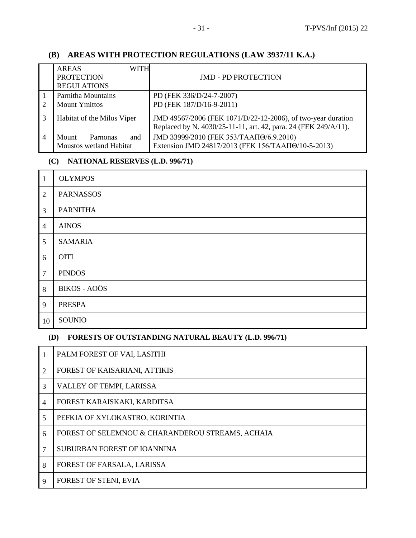## **(B) AREAS WITH PROTECTION REGULATIONS (LAW 3937/11 Κ.Α.)**

|   | WITH<br><b>AREAS</b><br><b>PROTECTION</b><br><b>REGULATIONS</b> | <b>JMD - PD PROTECTION</b>                                                                                                      |
|---|-----------------------------------------------------------------|---------------------------------------------------------------------------------------------------------------------------------|
|   | Parnitha Mountains                                              | PD (FEK 336/D/24-7-2007)                                                                                                        |
|   | <b>Mount Ymittos</b>                                            | PD (FEK 187/D/16-9-2011)                                                                                                        |
| 3 | Habitat of the Milos Viper                                      | JMD 49567/2006 (FEK 1071/D/22-12-2006), of two-year duration<br>Replaced by N. 4030/25-11-11, art. 42, para. 24 (FEK 249/A/11). |
|   | Mount<br>and<br>Parnonas<br>Moustos wetland Habitat             | JMD 33999/2010 (FEK 353/ΤΑΑΠΘ/6.9.2010)<br>Extension JMD 24817/2013 (FEK 156/ΤΑΑΠΘ/10-5-2013)                                   |

## **(C) NATIONAL RESERVES (L.D. 996/71)**

| $\mathbf{1}$   | <b>OLYMPOS</b>      |
|----------------|---------------------|
| $\overline{2}$ | <b>PARNASSOS</b>    |
| 3              | <b>PARNITHA</b>     |
| $\overline{4}$ | <b>AINOS</b>        |
| 5              | <b>SAMARIA</b>      |
| 6              | <b>OITI</b>         |
| $\tau$         | <b>PINDOS</b>       |
| $\,8\,$        | <b>BIKOS - AOÖS</b> |
| 9              | <b>PRESPA</b>       |
| 10             | SOUNIO              |

## **(D) FORESTS OF OUTSTANDING NATURAL BEAUTY (L.D. 996/71)**

|                | PALM FOREST OF VAI, LASITHI                      |
|----------------|--------------------------------------------------|
| $\overline{2}$ | FOREST OF KAISARIANI, ATTIKIS                    |
| 3              | VALLEY OF TEMPI, LARISSA                         |
| $\overline{4}$ | FOREST KARAISKAKI, KARDITSA                      |
| 5              | PEFKIA OF XYLOKASTRO, KORINTIA                   |
| 6              | FOREST OF SELEMNOU & CHARANDEROU STREAMS, ACHAIA |
| 7              | SUBURBAN FOREST OF IOANNINA                      |
| 8              | FOREST OF FARSALA, LARISSA                       |
| 9              | FOREST OF STENI, EVIA                            |
|                |                                                  |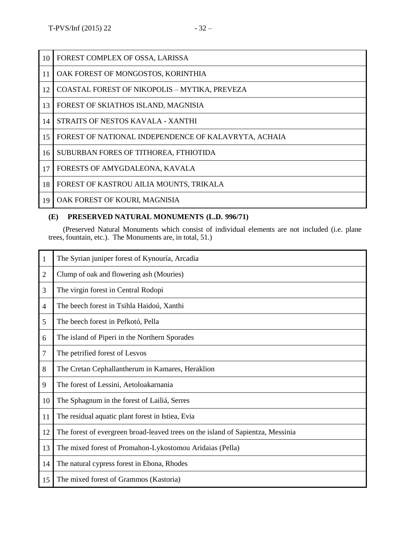| 10 | FOREST COMPLEX OF OSSA, LARISSA                      |
|----|------------------------------------------------------|
| 11 | OAK FOREST OF MONGOSTOS, KORINTHIA                   |
| 12 | COASTAL FOREST OF NIKOPOLIS - MYTIKA, PREVEZA        |
| 13 | FOREST OF SKIATHOS ISLAND, MAGNISIA                  |
| 14 | STRAITS OF NESTOS KAVALA - XANTHI                    |
| 15 | FOREST OF NATIONAL INDEPENDENCE OF KALAVRYTA, ACHAIA |
| 16 | SUBURBAN FORES OF TITHOREA, FTHIOTIDA                |
| 17 | FORESTS OF AMYGDALEONA, KAVALA                       |
| 18 | FOREST OF KASTROU AILIA MOUNTS, TRIKALA              |
| 19 | OAK FOREST OF KOURI, MAGNISIA                        |

### **(E) PRESERVED NATURAL MONUMENTS (L.D. 996/71)**

(Preserved Natural Monuments which consist of individual elements are not included (i.e. plane trees, fountain, etc.). The Monuments are, in total, 51.)

| 1              | The Syrian juniper forest of Kynouría, Arcadia                                  |
|----------------|---------------------------------------------------------------------------------|
| $\overline{2}$ | Clump of oak and flowering ash (Mouries)                                        |
| 3              | The virgin forest in Central Rodopi                                             |
| 4              | The beech forest in Tsihla Haidoú, Xanthi                                       |
| 5              | The beech forest in Pefkotó, Pella                                              |
| 6              | The island of Piperi in the Northern Sporades                                   |
| 7              | The petrified forest of Lesvos                                                  |
| 8              | The Cretan Cephallantherum in Kamares, Heraklion                                |
| 9              | The forest of Lessini, Aetoloakarnania                                          |
| 10             | The Sphagnum in the forest of Lailiá, Serres                                    |
| 11             | The residual aquatic plant forest in Istiea, Evia                               |
| 12             | The forest of evergreen broad-leaved trees on the island of Sapientza, Messinia |
| 13             | The mixed forest of Promahon-Lykostomou Aridaias (Pella)                        |
| 14             | The natural cypress forest in Ebona, Rhodes                                     |
| 15             | The mixed forest of Grammos (Kastoria)                                          |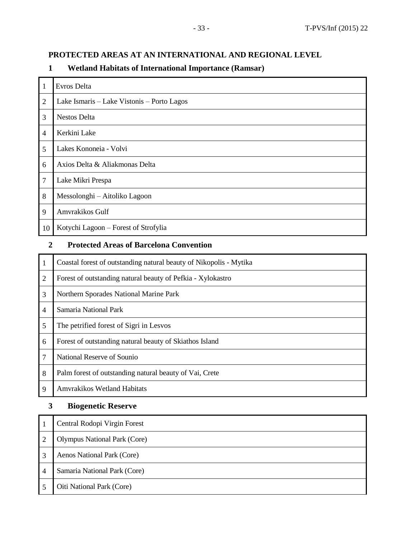## **PROTECTED AREAS AT AN INTERNATIONAL AND REGIONAL LEVEL**

## **Wetland Habitats of International Importance (Ramsar)**

| 1              | Evros Delta                                    |
|----------------|------------------------------------------------|
| $\overline{2}$ | Lake Ismaris – Lake Vistonis – Porto Lagos     |
| 3              | Nestos Delta                                   |
| 4              | Kerkini Lake                                   |
| 5              | Lakes Kononeia - Volvi                         |
| 6              | Axios Delta & Aliakmonas Delta                 |
| 7              | Lake Mikri Prespa                              |
| 8              | Messolonghi – Aitoliko Lagoon                  |
| 9              | Amvrakikos Gulf                                |
| 10             | Kotychi Lagoon – Forest of Strofylia           |
| 2              | <b>Protected Areas of Barcelona Convention</b> |

## **Protected Areas of Barcelona Convention**

| 1 | Coastal forest of outstanding natural beauty of Nikopolis - Mytika |
|---|--------------------------------------------------------------------|
| 2 | Forest of outstanding natural beauty of Pefkia - Xylokastro        |
| 3 | Northern Sporades National Marine Park                             |
| 4 | Samaria National Park                                              |
| 5 | The petrified forest of Sigri in Lesvos                            |
| 6 | Forest of outstanding natural beauty of Skiathos Island            |
| 7 | National Reserve of Sounio                                         |
| 8 | Palm forest of outstanding natural beauty of Vai, Crete            |
| 9 | <b>Amyrakikos Wetland Habitats</b>                                 |

## **Biogenetic Reserve**

|   | Central Rodopi Virgin Forest        |
|---|-------------------------------------|
|   | <b>Olympus National Park (Core)</b> |
| 3 | Aenos National Park (Core)          |
| 4 | Samaria National Park (Core)        |
|   | Oiti National Park (Core)           |